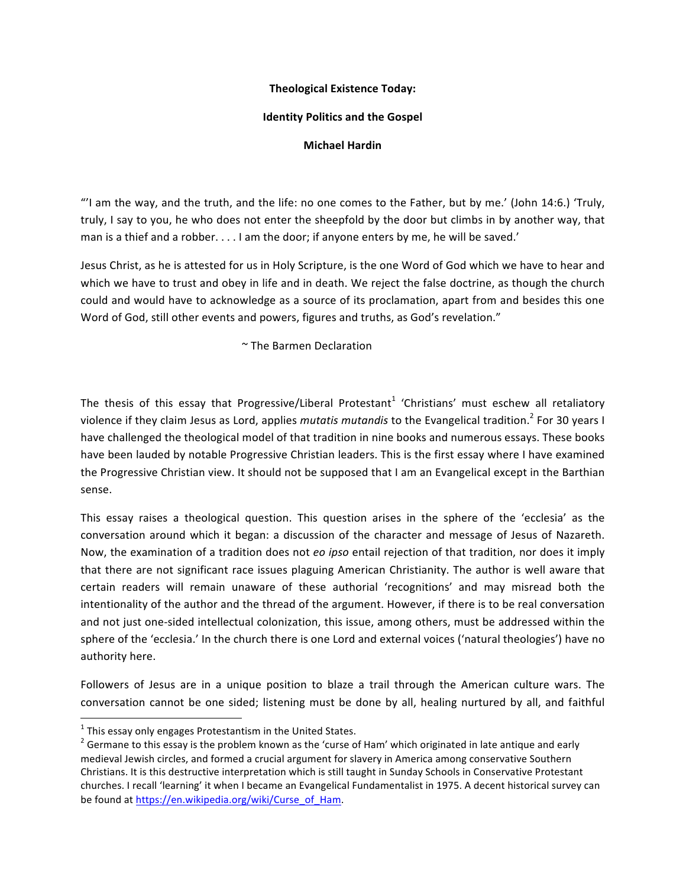## **Theological Existence Today:**

## **Identity Politics and the Gospel**

## **Michael Hardin**

"'I am the way, and the truth, and the life: no one comes to the Father, but by me.' (John 14:6.) 'Truly, truly, I say to you, he who does not enter the sheepfold by the door but climbs in by another way, that man is a thief and a robber. . . . I am the door; if anyone enters by me, he will be saved.'

Jesus Christ, as he is attested for us in Holy Scripture, is the one Word of God which we have to hear and which we have to trust and obey in life and in death. We reject the false doctrine, as though the church could and would have to acknowledge as a source of its proclamation, apart from and besides this one Word of God, still other events and powers, figures and truths, as God's revelation."

~ The Barmen Declaration

The thesis of this essay that Progressive/Liberal Protestant<sup>1</sup> 'Christians' must eschew all retaliatory violence if they claim Jesus as Lord, applies *mutatis mutandis* to the Evangelical tradition.<sup>2</sup> For 30 vears I have challenged the theological model of that tradition in nine books and numerous essays. These books have been lauded by notable Progressive Christian leaders. This is the first essay where I have examined the Progressive Christian view. It should not be supposed that I am an Evangelical except in the Barthian sense. 

This essay raises a theological question. This question arises in the sphere of the 'ecclesia' as the conversation around which it began: a discussion of the character and message of Jesus of Nazareth. Now, the examination of a tradition does not *eo ipso* entail rejection of that tradition, nor does it imply that there are not significant race issues plaguing American Christianity. The author is well aware that certain readers will remain unaware of these authorial 'recognitions' and may misread both the intentionality of the author and the thread of the argument. However, if there is to be real conversation and not just one-sided intellectual colonization, this issue, among others, must be addressed within the sphere of the 'ecclesia.' In the church there is one Lord and external voices ('natural theologies') have no authority here.

Followers of Jesus are in a unique position to blaze a trail through the American culture wars. The conversation cannot be one sided; listening must be done by all, healing nurtured by all, and faithful

 

<sup>&</sup>lt;sup>1</sup> This essay only engages Protestantism in the United States.<br><sup>2</sup> Germane to this essay is the problem known as the 'curse of Ham' which originated in late antique and early medieval Jewish circles, and formed a crucial argument for slavery in America among conservative Southern Christians. It is this destructive interpretation which is still taught in Sunday Schools in Conservative Protestant churches. I recall 'learning' it when I became an Evangelical Fundamentalist in 1975. A decent historical survey can be found at https://en.wikipedia.org/wiki/Curse\_of\_Ham.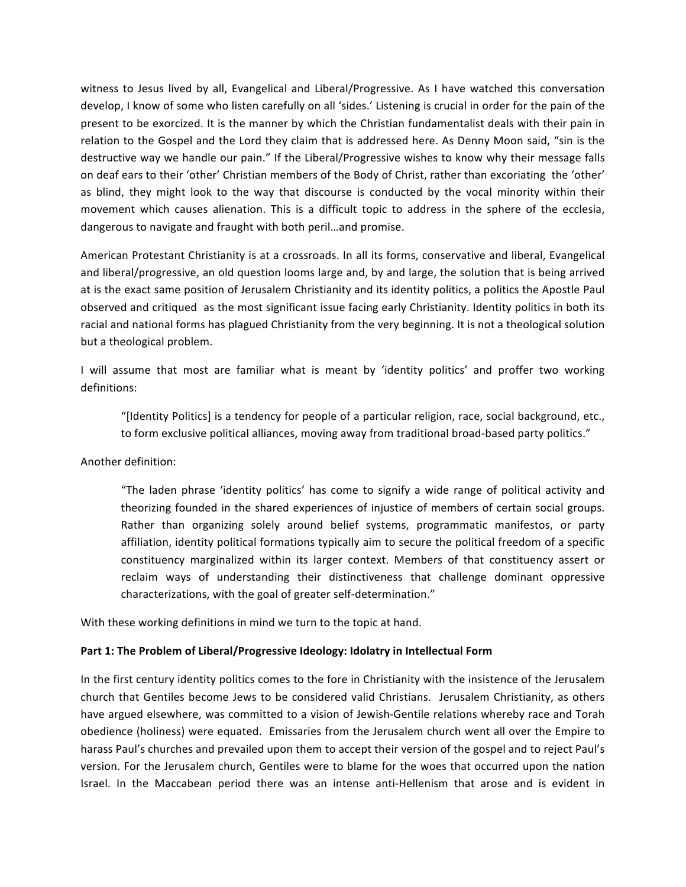witness to Jesus lived by all, Evangelical and Liberal/Progressive. As I have watched this conversation develop, I know of some who listen carefully on all 'sides.' Listening is crucial in order for the pain of the present to be exorcized. It is the manner by which the Christian fundamentalist deals with their pain in relation to the Gospel and the Lord they claim that is addressed here. As Denny Moon said, "sin is the destructive way we handle our pain." If the Liberal/Progressive wishes to know why their message falls on deaf ears to their 'other' Christian members of the Body of Christ, rather than excoriating the 'other' as blind, they might look to the way that discourse is conducted by the vocal minority within their movement which causes alienation. This is a difficult topic to address in the sphere of the ecclesia, dangerous to navigate and fraught with both peril...and promise.

American Protestant Christianity is at a crossroads. In all its forms, conservative and liberal, Evangelical and liberal/progressive, an old question looms large and, by and large, the solution that is being arrived at is the exact same position of Jerusalem Christianity and its identity politics, a politics the Apostle Paul observed and critiqued as the most significant issue facing early Christianity. Identity politics in both its racial and national forms has plagued Christianity from the very beginning. It is not a theological solution but a theological problem.

I will assume that most are familiar what is meant by 'identity politics' and proffer two working definitions: 

"[Identity Politics] is a tendency for people of a particular religion, race, social background, etc., to form exclusive political alliances, moving away from traditional broad-based party politics."

Another definition:

"The laden phrase 'identity politics' has come to signify a wide range of political activity and theorizing founded in the shared experiences of injustice of members of certain social groups. Rather than organizing solely around belief systems, programmatic manifestos, or party affiliation, identity political formations typically aim to secure the political freedom of a specific constituency marginalized within its larger context. Members of that constituency assert or reclaim ways of understanding their distinctiveness that challenge dominant oppressive characterizations, with the goal of greater self-determination."

With these working definitions in mind we turn to the topic at hand.

#### Part 1: The Problem of Liberal/Progressive Ideology: Idolatry in Intellectual Form

In the first century identity politics comes to the fore in Christianity with the insistence of the Jerusalem church that Gentiles become Jews to be considered valid Christians. Jerusalem Christianity, as others have argued elsewhere, was committed to a vision of Jewish-Gentile relations whereby race and Torah obedience (holiness) were equated. Emissaries from the Jerusalem church went all over the Empire to harass Paul's churches and prevailed upon them to accept their version of the gospel and to reject Paul's version. For the Jerusalem church, Gentiles were to blame for the woes that occurred upon the nation Israel. In the Maccabean period there was an intense anti-Hellenism that arose and is evident in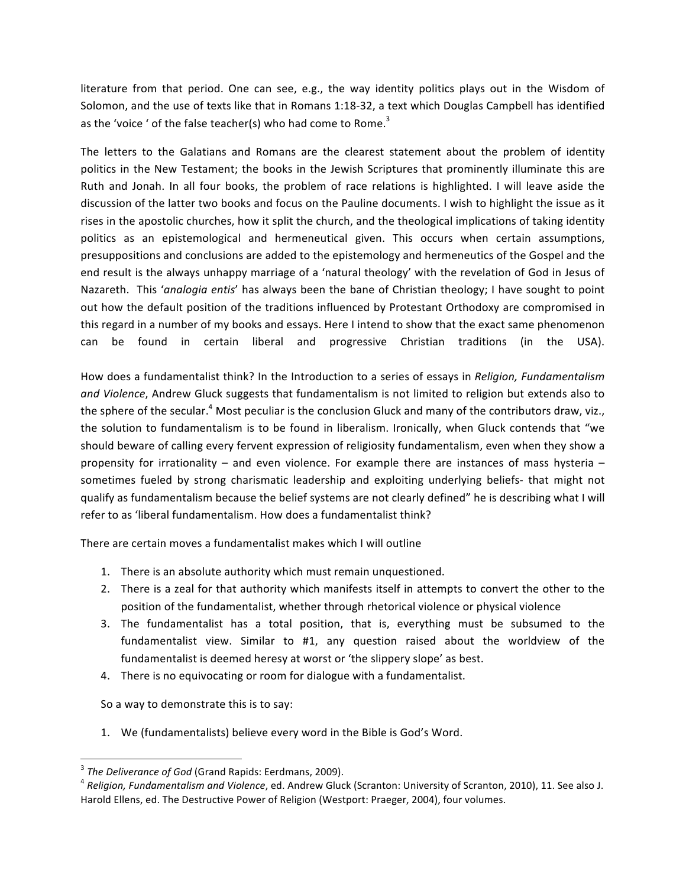literature from that period. One can see, e.g., the way identity politics plays out in the Wisdom of Solomon, and the use of texts like that in Romans 1:18-32, a text which Douglas Campbell has identified as the 'voice ' of the false teacher(s) who had come to Rome. $^3$ 

The letters to the Galatians and Romans are the clearest statement about the problem of identity politics in the New Testament; the books in the Jewish Scriptures that prominently illuminate this are Ruth and Jonah. In all four books, the problem of race relations is highlighted. I will leave aside the discussion of the latter two books and focus on the Pauline documents. I wish to highlight the issue as it rises in the apostolic churches, how it split the church, and the theological implications of taking identity politics as an epistemological and hermeneutical given. This occurs when certain assumptions, presuppositions and conclusions are added to the epistemology and hermeneutics of the Gospel and the end result is the always unhappy marriage of a 'natural theology' with the revelation of God in Jesus of Nazareth. This 'analogia entis' has always been the bane of Christian theology; I have sought to point out how the default position of the traditions influenced by Protestant Orthodoxy are compromised in this regard in a number of my books and essays. Here I intend to show that the exact same phenomenon can be found in certain liberal and progressive Christian traditions (in the USA).

How does a fundamentalist think? In the Introduction to a series of essays in *Religion, Fundamentalism* and Violence, Andrew Gluck suggests that fundamentalism is not limited to religion but extends also to the sphere of the secular.<sup>4</sup> Most peculiar is the conclusion Gluck and many of the contributors draw, viz., the solution to fundamentalism is to be found in liberalism. Ironically, when Gluck contends that "we should beware of calling every fervent expression of religiosity fundamentalism, even when they show a propensity for irrationality  $-$  and even violence. For example there are instances of mass hysteria  $$ sometimes fueled by strong charismatic leadership and exploiting underlying beliefs- that might not qualify as fundamentalism because the belief systems are not clearly defined" he is describing what I will refer to as 'liberal fundamentalism. How does a fundamentalist think?

There are certain moves a fundamentalist makes which I will outline

- 1. There is an absolute authority which must remain unquestioned.
- 2. There is a zeal for that authority which manifests itself in attempts to convert the other to the position of the fundamentalist, whether through rhetorical violence or physical violence
- 3. The fundamentalist has a total position, that is, everything must be subsumed to the fundamentalist view. Similar to #1, any question raised about the worldview of the fundamentalist is deemed heresy at worst or 'the slippery slope' as best.
- 4. There is no equivocating or room for dialogue with a fundamentalist.

So a way to demonstrate this is to say:

<u> 1989 - Johann Barn, mars ann an t-Amhain an t-Amhain an t-Amhain an t-Amhain an t-Amhain an t-Amhain an t-Amh</u>

1. We (fundamentalists) believe every word in the Bible is God's Word.

<sup>&</sup>lt;sup>3</sup> The Deliverance of God (Grand Rapids: Eerdmans, 2009).<br><sup>4</sup> Religion, Fundamentalism and Violence, ed. Andrew Gluck (Scranton: University of Scranton, 2010), 11. See also J. Harold Ellens, ed. The Destructive Power of Religion (Westport: Praeger, 2004), four volumes.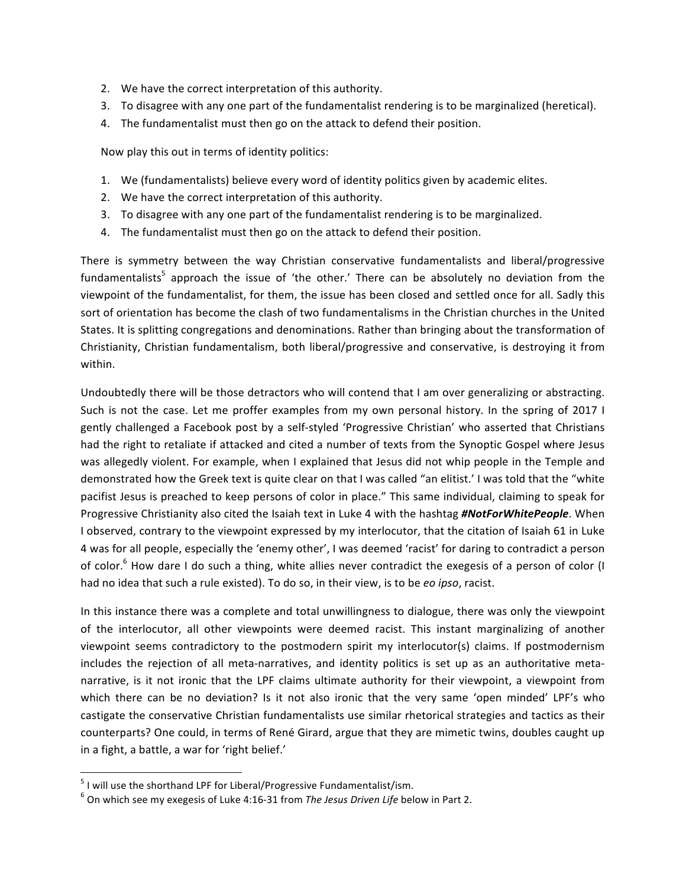- 2. We have the correct interpretation of this authority.
- 3. To disagree with any one part of the fundamentalist rendering is to be marginalized (heretical).
- 4. The fundamentalist must then go on the attack to defend their position.

Now play this out in terms of identity politics:

- 1. We (fundamentalists) believe every word of identity politics given by academic elites.
- 2. We have the correct interpretation of this authority.
- 3. To disagree with any one part of the fundamentalist rendering is to be marginalized.
- 4. The fundamentalist must then go on the attack to defend their position.

There is symmetry between the way Christian conservative fundamentalists and liberal/progressive fundamentalists<sup>5</sup> approach the issue of 'the other.' There can be absolutely no deviation from the viewpoint of the fundamentalist, for them, the issue has been closed and settled once for all. Sadly this sort of orientation has become the clash of two fundamentalisms in the Christian churches in the United States. It is splitting congregations and denominations. Rather than bringing about the transformation of Christianity, Christian fundamentalism, both liberal/progressive and conservative, is destroying it from within. 

Undoubtedly there will be those detractors who will contend that I am over generalizing or abstracting. Such is not the case. Let me proffer examples from my own personal history. In the spring of 2017 I gently challenged a Facebook post by a self-styled 'Progressive Christian' who asserted that Christians had the right to retaliate if attacked and cited a number of texts from the Synoptic Gospel where Jesus was allegedly violent. For example, when I explained that Jesus did not whip people in the Temple and demonstrated how the Greek text is quite clear on that I was called "an elitist.' I was told that the "white pacifist Jesus is preached to keep persons of color in place." This same individual, claiming to speak for Progressive Christianity also cited the Isaiah text in Luke 4 with the hashtag **#NotForWhitePeople**. When I observed, contrary to the viewpoint expressed by my interlocutor, that the citation of Isaiah 61 in Luke 4 was for all people, especially the 'enemy other', I was deemed 'racist' for daring to contradict a person of color.<sup>6</sup> How dare I do such a thing, white allies never contradict the exegesis of a person of color (I had no idea that such a rule existed). To do so, in their view, is to be *eo ipso*, racist.

In this instance there was a complete and total unwillingness to dialogue, there was only the viewpoint of the interlocutor, all other viewpoints were deemed racist. This instant marginalizing of another viewpoint seems contradictory to the postmodern spirit my interlocutor(s) claims. If postmodernism includes the rejection of all meta-narratives, and identity politics is set up as an authoritative metanarrative, is it not ironic that the LPF claims ultimate authority for their viewpoint, a viewpoint from which there can be no deviation? Is it not also ironic that the very same 'open minded' LPF's who castigate the conservative Christian fundamentalists use similar rhetorical strategies and tactics as their counterparts? One could, in terms of René Girard, argue that they are mimetic twins, doubles caught up in a fight, a battle, a war for 'right belief.'

 $5$  I will use the shorthand LPF for Liberal/Progressive Fundamentalist/ism.

 $^6$  On which see my exegesis of Luke 4:16-31 from *The Jesus Driven Life* below in Part 2.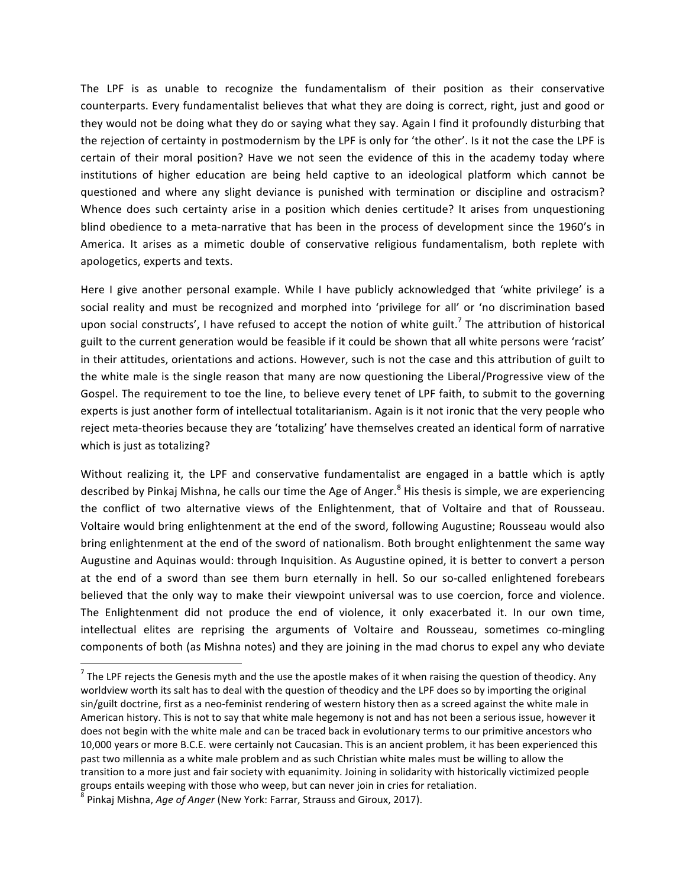The LPF is as unable to recognize the fundamentalism of their position as their conservative counterparts. Every fundamentalist believes that what they are doing is correct, right, just and good or they would not be doing what they do or saying what they say. Again I find it profoundly disturbing that the rejection of certainty in postmodernism by the LPF is only for 'the other'. Is it not the case the LPF is certain of their moral position? Have we not seen the evidence of this in the academy today where institutions of higher education are being held captive to an ideological platform which cannot be questioned and where any slight deviance is punished with termination or discipline and ostracism? Whence does such certainty arise in a position which denies certitude? It arises from unquestioning blind obedience to a meta-narrative that has been in the process of development since the 1960's in America. It arises as a mimetic double of conservative religious fundamentalism, both replete with apologetics, experts and texts.

Here I give another personal example. While I have publicly acknowledged that 'white privilege' is a social reality and must be recognized and morphed into 'privilege for all' or 'no discrimination based upon social constructs', I have refused to accept the notion of white guilt.<sup>7</sup> The attribution of historical guilt to the current generation would be feasible if it could be shown that all white persons were 'racist' in their attitudes, orientations and actions. However, such is not the case and this attribution of guilt to the white male is the single reason that many are now questioning the Liberal/Progressive view of the Gospel. The requirement to toe the line, to believe every tenet of LPF faith, to submit to the governing experts is just another form of intellectual totalitarianism. Again is it not ironic that the very people who reject meta-theories because they are 'totalizing' have themselves created an identical form of narrative which is just as totalizing?

Without realizing it, the LPF and conservative fundamentalist are engaged in a battle which is aptly described by Pinkaj Mishna, he calls our time the Age of Anger.<sup>8</sup> His thesis is simple, we are experiencing the conflict of two alternative views of the Enlightenment, that of Voltaire and that of Rousseau. Voltaire would bring enlightenment at the end of the sword, following Augustine; Rousseau would also bring enlightenment at the end of the sword of nationalism. Both brought enlightenment the same way Augustine and Aquinas would: through Inquisition. As Augustine opined, it is better to convert a person at the end of a sword than see them burn eternally in hell. So our so-called enlightened forebears believed that the only way to make their viewpoint universal was to use coercion, force and violence. The Enlightenment did not produce the end of violence, it only exacerbated it. In our own time, intellectual elites are reprising the arguments of Voltaire and Rousseau, sometimes co-mingling components of both (as Mishna notes) and they are joining in the mad chorus to expel any who deviate

 $^7$  The LPF rejects the Genesis myth and the use the apostle makes of it when raising the question of theodicy. Any worldview worth its salt has to deal with the question of theodicy and the LPF does so by importing the original sin/guilt doctrine, first as a neo-feminist rendering of western history then as a screed against the white male in American history. This is not to say that white male hegemony is not and has not been a serious issue, however it does not begin with the white male and can be traced back in evolutionary terms to our primitive ancestors who 10,000 years or more B.C.E. were certainly not Caucasian. This is an ancient problem, it has been experienced this past two millennia as a white male problem and as such Christian white males must be willing to allow the transition to a more just and fair society with equanimity. Joining in solidarity with historically victimized people groups entails weeping with those who weep, but can never join in cries for retaliation.

<sup>&</sup>lt;sup>3</sup> Pinkaj Mishna*, Age of Anger* (New York: Farrar, Strauss and Giroux, 2017).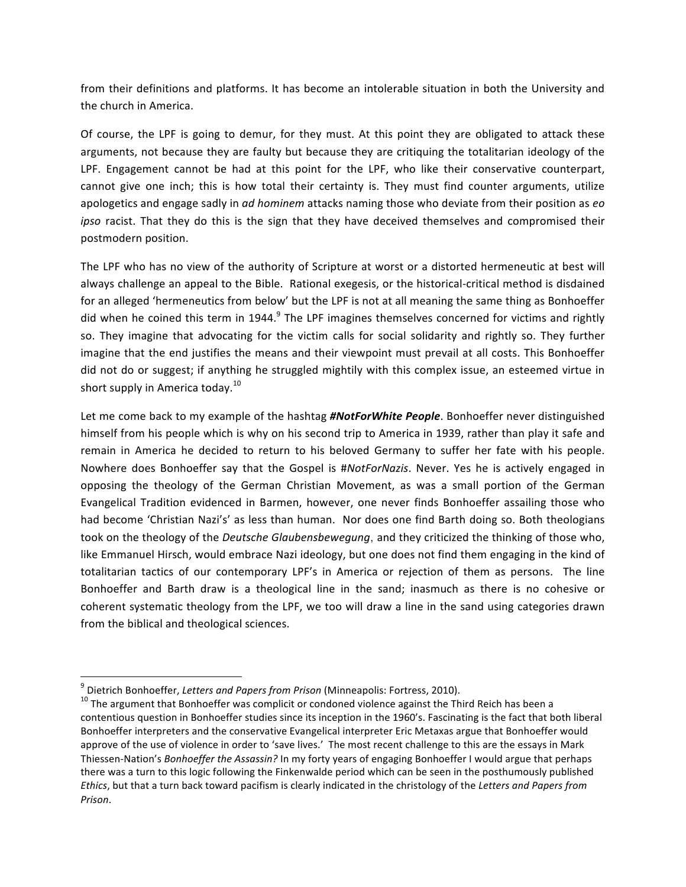from their definitions and platforms. It has become an intolerable situation in both the University and the church in America.

Of course, the LPF is going to demur, for they must. At this point they are obligated to attack these arguments, not because they are faulty but because they are critiquing the totalitarian ideology of the LPF. Engagement cannot be had at this point for the LPF, who like their conservative counterpart, cannot give one inch; this is how total their certainty is. They must find counter arguments, utilize apologetics and engage sadly in *ad hominem* attacks naming those who deviate from their position as *eo ipso* racist. That they do this is the sign that they have deceived themselves and compromised their postmodern position.

The LPF who has no view of the authority of Scripture at worst or a distorted hermeneutic at best will always challenge an appeal to the Bible. Rational exegesis, or the historical-critical method is disdained for an alleged 'hermeneutics from below' but the LPF is not at all meaning the same thing as Bonhoeffer did when he coined this term in 1944.<sup>9</sup> The LPF imagines themselves concerned for victims and rightly so. They imagine that advocating for the victim calls for social solidarity and rightly so. They further imagine that the end justifies the means and their viewpoint must prevail at all costs. This Bonhoeffer did not do or suggest; if anything he struggled mightily with this complex issue, an esteemed virtue in short supply in America today.<sup>10</sup>

Let me come back to my example of the hashtag **#NotForWhite People**. Bonhoeffer never distinguished himself from his people which is why on his second trip to America in 1939, rather than play it safe and remain in America he decided to return to his beloved Germany to suffer her fate with his people. Nowhere does Bonhoeffer say that the Gospel is #NotForNazis. Never. Yes he is actively engaged in opposing the theology of the German Christian Movement, as was a small portion of the German Evangelical Tradition evidenced in Barmen, however, one never finds Bonhoeffer assailing those who had become 'Christian Nazi's' as less than human. Nor does one find Barth doing so. Both theologians took on the theology of the *Deutsche Glaubensbewegung*, and they criticized the thinking of those who, like Emmanuel Hirsch, would embrace Nazi ideology, but one does not find them engaging in the kind of totalitarian tactics of our contemporary LPF's in America or rejection of them as persons. The line Bonhoeffer and Barth draw is a theological line in the sand; inasmuch as there is no cohesive or coherent systematic theology from the LPF, we too will draw a line in the sand using categories drawn from the biblical and theological sciences.

<sup>&</sup>lt;sup>9</sup> Dietrich Bonhoeffer, Letters and Papers from Prison (Minneapolis: Fortress, 2010).

<sup>&</sup>lt;sup>10</sup> The argument that Bonhoeffer was complicit or condoned violence against the Third Reich has been a contentious question in Bonhoeffer studies since its inception in the 1960's. Fascinating is the fact that both liberal Bonhoeffer interpreters and the conservative Evangelical interpreter Eric Metaxas argue that Bonhoeffer would approve of the use of violence in order to 'save lives.' The most recent challenge to this are the essays in Mark Thiessen-Nation's *Bonhoeffer the Assassin?* In my forty years of engaging Bonhoeffer I would argue that perhaps there was a turn to this logic following the Finkenwalde period which can be seen in the posthumously published *Ethics*, but that a turn back toward pacifism is clearly indicated in the christology of the *Letters and Papers from Prison*.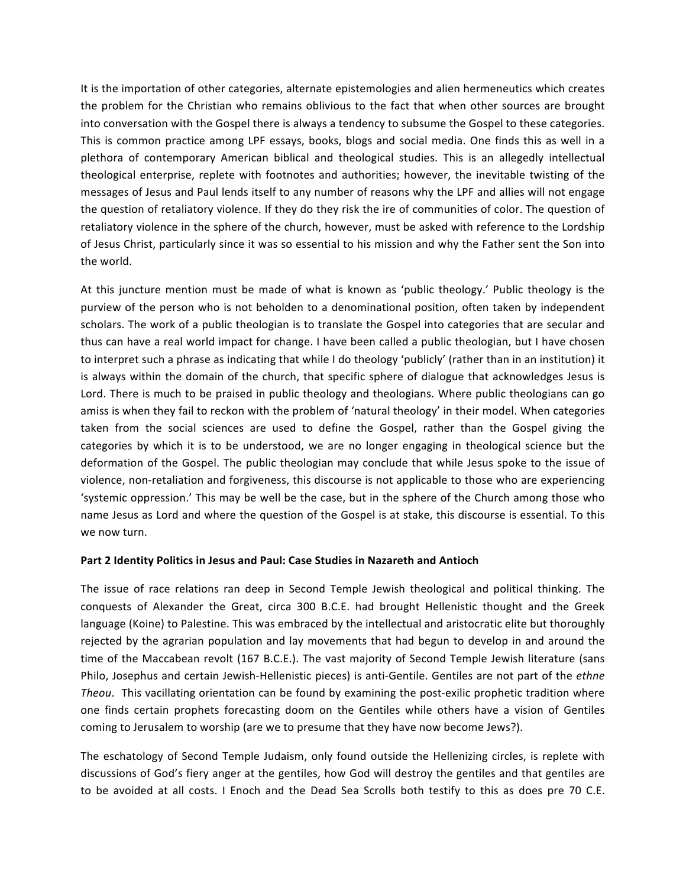It is the importation of other categories, alternate epistemologies and alien hermeneutics which creates the problem for the Christian who remains oblivious to the fact that when other sources are brought into conversation with the Gospel there is always a tendency to subsume the Gospel to these categories. This is common practice among LPF essays, books, blogs and social media. One finds this as well in a plethora of contemporary American biblical and theological studies. This is an allegedly intellectual theological enterprise, replete with footnotes and authorities; however, the inevitable twisting of the messages of Jesus and Paul lends itself to any number of reasons why the LPF and allies will not engage the question of retaliatory violence. If they do they risk the ire of communities of color. The question of retaliatory violence in the sphere of the church, however, must be asked with reference to the Lordship of Jesus Christ, particularly since it was so essential to his mission and why the Father sent the Son into the world.

At this juncture mention must be made of what is known as 'public theology.' Public theology is the purview of the person who is not beholden to a denominational position, often taken by independent scholars. The work of a public theologian is to translate the Gospel into categories that are secular and thus can have a real world impact for change. I have been called a public theologian, but I have chosen to interpret such a phrase as indicating that while I do theology 'publicly' (rather than in an institution) it is always within the domain of the church, that specific sphere of dialogue that acknowledges Jesus is Lord. There is much to be praised in public theology and theologians. Where public theologians can go amiss is when they fail to reckon with the problem of 'natural theology' in their model. When categories taken from the social sciences are used to define the Gospel, rather than the Gospel giving the categories by which it is to be understood, we are no longer engaging in theological science but the deformation of the Gospel. The public theologian may conclude that while Jesus spoke to the issue of violence, non-retaliation and forgiveness, this discourse is not applicable to those who are experiencing 'systemic oppression.' This may be well be the case, but in the sphere of the Church among those who name Jesus as Lord and where the question of the Gospel is at stake, this discourse is essential. To this we now turn.

#### Part 2 Identity Politics in Jesus and Paul: Case Studies in Nazareth and Antioch

The issue of race relations ran deep in Second Temple Jewish theological and political thinking. The conquests of Alexander the Great, circa 300 B.C.E. had brought Hellenistic thought and the Greek language (Koine) to Palestine. This was embraced by the intellectual and aristocratic elite but thoroughly rejected by the agrarian population and lay movements that had begun to develop in and around the time of the Maccabean revolt (167 B.C.E.). The vast majority of Second Temple Jewish literature (sans Philo, Josephus and certain Jewish-Hellenistic pieces) is anti-Gentile. Gentiles are not part of the *ethne Theou*. This vacillating orientation can be found by examining the post-exilic prophetic tradition where one finds certain prophets forecasting doom on the Gentiles while others have a vision of Gentiles coming to Jerusalem to worship (are we to presume that they have now become Jews?).

The eschatology of Second Temple Judaism, only found outside the Hellenizing circles, is replete with discussions of God's fiery anger at the gentiles, how God will destroy the gentiles and that gentiles are to be avoided at all costs. I Enoch and the Dead Sea Scrolls both testify to this as does pre 70 C.E.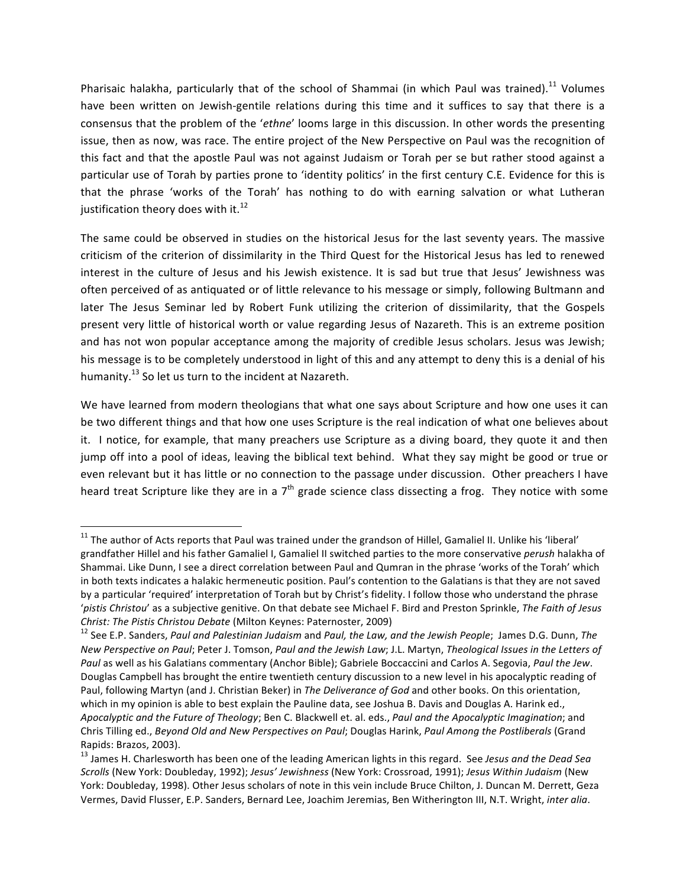Pharisaic halakha, particularly that of the school of Shammai (in which Paul was trained).<sup>11</sup> Volumes have been written on Jewish-gentile relations during this time and it suffices to say that there is a consensus that the problem of the 'ethne' looms large in this discussion. In other words the presenting issue, then as now, was race. The entire project of the New Perspective on Paul was the recognition of this fact and that the apostle Paul was not against Judaism or Torah per se but rather stood against a particular use of Torah by parties prone to 'identity politics' in the first century C.E. Evidence for this is that the phrase 'works of the Torah' has nothing to do with earning salvation or what Lutheran justification theory does with it. $^{12}$ 

The same could be observed in studies on the historical Jesus for the last seventy years. The massive criticism of the criterion of dissimilarity in the Third Quest for the Historical Jesus has led to renewed interest in the culture of Jesus and his Jewish existence. It is sad but true that Jesus' Jewishness was often perceived of as antiquated or of little relevance to his message or simply, following Bultmann and later The Jesus Seminar led by Robert Funk utilizing the criterion of dissimilarity, that the Gospels present very little of historical worth or value regarding Jesus of Nazareth. This is an extreme position and has not won popular acceptance among the majority of credible Jesus scholars. Jesus was Jewish; his message is to be completely understood in light of this and any attempt to deny this is a denial of his humanity.<sup>13</sup> So let us turn to the incident at Nazareth.

We have learned from modern theologians that what one says about Scripture and how one uses it can be two different things and that how one uses Scripture is the real indication of what one believes about it. I notice, for example, that many preachers use Scripture as a diving board, they quote it and then jump off into a pool of ideas, leaving the biblical text behind. What they say might be good or true or even relevant but it has little or no connection to the passage under discussion. Other preachers I have heard treat Scripture like they are in a  $7<sup>th</sup>$  grade science class dissecting a frog. They notice with some

 $^{11}$  The author of Acts reports that Paul was trained under the grandson of Hillel, Gamaliel II. Unlike his 'liberal' grandfather Hillel and his father Gamaliel I, Gamaliel II switched parties to the more conservative *perush* halakha of Shammai. Like Dunn, I see a direct correlation between Paul and Qumran in the phrase 'works of the Torah' which in both texts indicates a halakic hermeneutic position. Paul's contention to the Galatians is that they are not saved by a particular 'required' interpretation of Torah but by Christ's fidelity. I follow those who understand the phrase 'pistis Christou' as a subjective genitive. On that debate see Michael F. Bird and Preston Sprinkle, The Faith of Jesus

*Christ: The Pistis Christou Debate* (Milton Keynes: Paternoster, 2009)<br><sup>12</sup> See E.P. Sanders, *Paul and Palestinian Judaism* and *Paul, the Law, and the Jewish People*; James D.G. Dunn, *The New Perspective on Paul*; Peter J. Tomson, *Paul and the Jewish Law*; J.L. Martyn, *Theological Issues in the Letters of* Paul as well as his Galatians commentary (Anchor Bible); Gabriele Boccaccini and Carlos A. Segovia, Paul the Jew. Douglas Campbell has brought the entire twentieth century discussion to a new level in his apocalyptic reading of Paul, following Martyn (and J. Christian Beker) in *The Deliverance of God* and other books. On this orientation, which in my opinion is able to best explain the Pauline data, see Joshua B. Davis and Douglas A. Harink ed., *Apocalyptic and the Future of Theology*; Ben C. Blackwell et. al. eds., *Paul and the Apocalyptic Imagination*; and Chris Tilling ed., Beyond Old and New Perspectives on Paul; Douglas Harink, Paul Among the Postliberals (Grand Rapids: Brazos, 2003).

<sup>&</sup>lt;sup>13</sup> James H. Charlesworth has been one of the leading American lights in this regard. See *Jesus and the Dead Sea Scrolls* (New York: Doubleday, 1992); *Jesus' Jewishness* (New York: Crossroad, 1991); *Jesus Within Judaism* (New York: Doubleday, 1998). Other Jesus scholars of note in this vein include Bruce Chilton, J. Duncan M. Derrett, Geza Vermes, David Flusser, E.P. Sanders, Bernard Lee, Joachim Jeremias, Ben Witherington III, N.T. Wright, *inter alia*.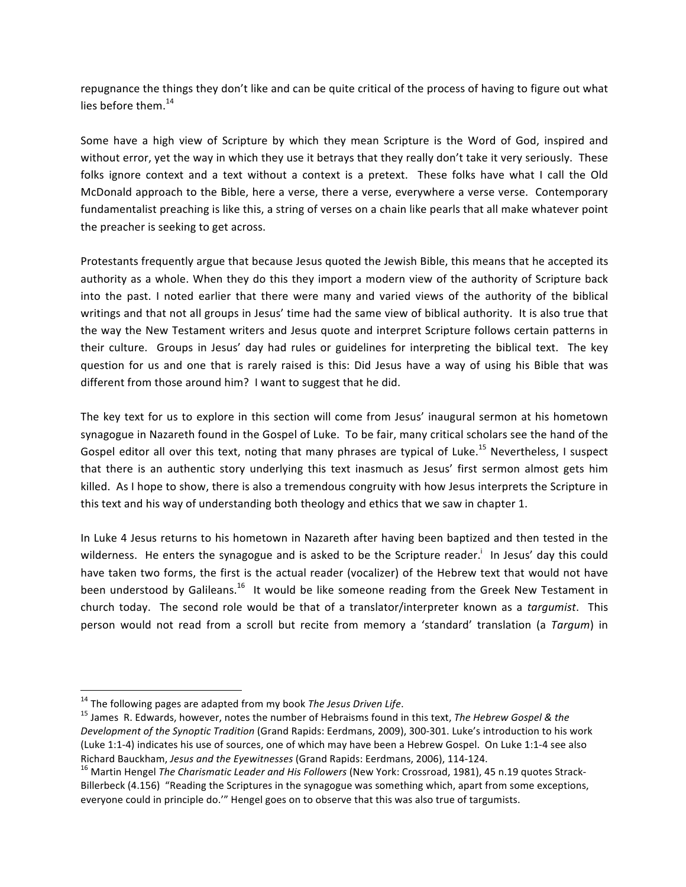repugnance the things they don't like and can be quite critical of the process of having to figure out what lies before them.<sup>14</sup>

Some have a high view of Scripture by which they mean Scripture is the Word of God, inspired and without error, yet the way in which they use it betrays that they really don't take it very seriously. These folks ignore context and a text without a context is a pretext. These folks have what I call the Old McDonald approach to the Bible, here a verse, there a verse, everywhere a verse verse. Contemporary fundamentalist preaching is like this, a string of verses on a chain like pearls that all make whatever point the preacher is seeking to get across.

Protestants frequently argue that because Jesus quoted the Jewish Bible, this means that he accepted its authority as a whole. When they do this they import a modern view of the authority of Scripture back into the past. I noted earlier that there were many and varied views of the authority of the biblical writings and that not all groups in Jesus' time had the same view of biblical authority. It is also true that the way the New Testament writers and Jesus quote and interpret Scripture follows certain patterns in their culture. Groups in Jesus' day had rules or guidelines for interpreting the biblical text. The key question for us and one that is rarely raised is this: Did Jesus have a way of using his Bible that was different from those around him? I want to suggest that he did.

The key text for us to explore in this section will come from Jesus' inaugural sermon at his hometown synagogue in Nazareth found in the Gospel of Luke. To be fair, many critical scholars see the hand of the Gospel editor all over this text, noting that many phrases are typical of Luke.<sup>15</sup> Nevertheless, I suspect that there is an authentic story underlying this text inasmuch as Jesus' first sermon almost gets him killed. As I hope to show, there is also a tremendous congruity with how Jesus interprets the Scripture in this text and his way of understanding both theology and ethics that we saw in chapter 1.

In Luke 4 Jesus returns to his hometown in Nazareth after having been baptized and then tested in the wilderness. He enters the synagogue and is asked to be the Scripture reader.<sup>i</sup> In Jesus' day this could have taken two forms, the first is the actual reader (vocalizer) of the Hebrew text that would not have been understood by Galileans.<sup>16</sup> It would be like someone reading from the Greek New Testament in church today. The second role would be that of a translator/interpreter known as a *targumist*. This person would not read from a scroll but recite from memory a 'standard' translation (a *Targum*) in

<sup>&</sup>lt;sup>14</sup> The following pages are adapted from my book *The Jesus Driven Life*.<br><sup>15</sup> James R. Edwards, however, notes the number of Hebraisms found in this text, *The Hebrew Gospel & the Development of the Synoptic Tradition* (Grand Rapids: Eerdmans, 2009), 300-301. Luke's introduction to his work (Luke 1:1-4) indicates his use of sources, one of which may have been a Hebrew Gospel. On Luke 1:1-4 see also

Richard Bauckham, *Jesus and the Eyewitnesses* (Grand Rapids: Eerdmans, 2006), 114-124. 16 Martin Hengel *The Charismatic Leader and His Followers* (New York: Crossroad, 1981), 45 n.19 quotes Strack-Billerbeck (4.156) "Reading the Scriptures in the synagogue was something which, apart from some exceptions, everyone could in principle do." Hengel goes on to observe that this was also true of targumists.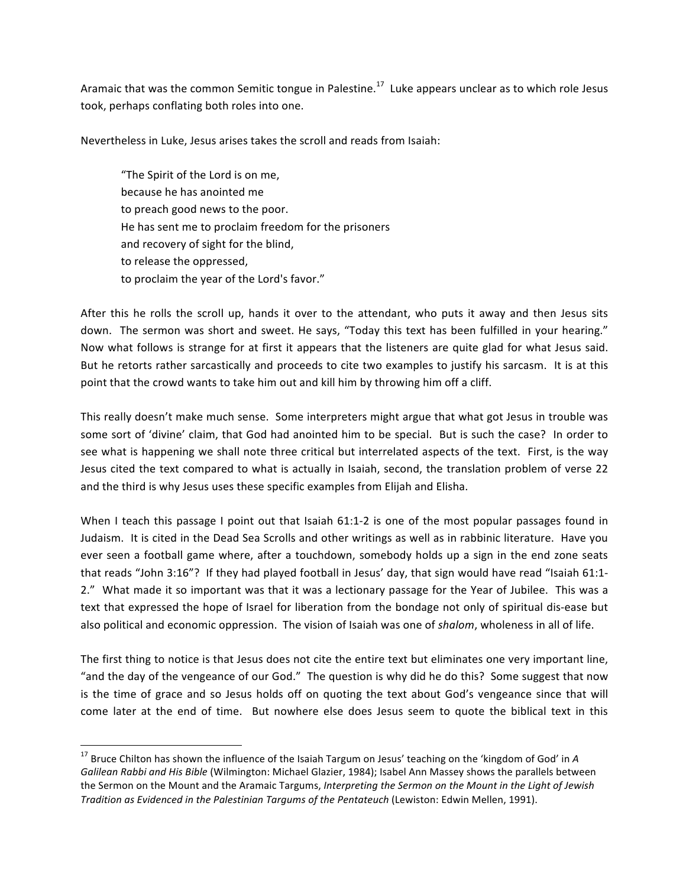Aramaic that was the common Semitic tongue in Palestine.<sup>17</sup> Luke appears unclear as to which role Jesus took, perhaps conflating both roles into one.

Nevertheless in Luke, Jesus arises takes the scroll and reads from Isaiah:

"The Spirit of the Lord is on me, because he has anointed me to preach good news to the poor. He has sent me to proclaim freedom for the prisoners and recovery of sight for the blind, to release the oppressed, to proclaim the year of the Lord's favor."

After this he rolls the scroll up, hands it over to the attendant, who puts it away and then Jesus sits down. The sermon was short and sweet. He says, "Today this text has been fulfilled in your hearing." Now what follows is strange for at first it appears that the listeners are quite glad for what Jesus said. But he retorts rather sarcastically and proceeds to cite two examples to justify his sarcasm. It is at this point that the crowd wants to take him out and kill him by throwing him off a cliff.

This really doesn't make much sense. Some interpreters might argue that what got Jesus in trouble was some sort of 'divine' claim, that God had anointed him to be special. But is such the case? In order to see what is happening we shall note three critical but interrelated aspects of the text. First, is the way Jesus cited the text compared to what is actually in Isaiah, second, the translation problem of verse 22 and the third is why Jesus uses these specific examples from Elijah and Elisha.

When I teach this passage I point out that Isaiah  $61:1-2$  is one of the most popular passages found in Judaism. It is cited in the Dead Sea Scrolls and other writings as well as in rabbinic literature. Have you ever seen a football game where, after a touchdown, somebody holds up a sign in the end zone seats that reads "John 3:16"? If they had played football in Jesus' day, that sign would have read "Isaiah 61:1-2." What made it so important was that it was a lectionary passage for the Year of Jubilee. This was a text that expressed the hope of Israel for liberation from the bondage not only of spiritual dis-ease but also political and economic oppression. The vision of Isaiah was one of *shalom*, wholeness in all of life.

The first thing to notice is that Jesus does not cite the entire text but eliminates one very important line, "and the day of the vengeance of our God." The question is why did he do this? Some suggest that now is the time of grace and so Jesus holds off on quoting the text about God's vengeance since that will come later at the end of time. But nowhere else does Jesus seem to quote the biblical text in this

<sup>&</sup>lt;sup>17</sup> Bruce Chilton has shown the influence of the Isaiah Targum on Jesus' teaching on the 'kingdom of God' in *A* Galilean Rabbi and His Bible (Wilmington: Michael Glazier, 1984); Isabel Ann Massey shows the parallels between the Sermon on the Mount and the Aramaic Targums, *Interpreting the Sermon on the Mount in the Light of Jewish Tradition as Evidenced in the Palestinian Targums of the Pentateuch* (Lewiston: Edwin Mellen, 1991).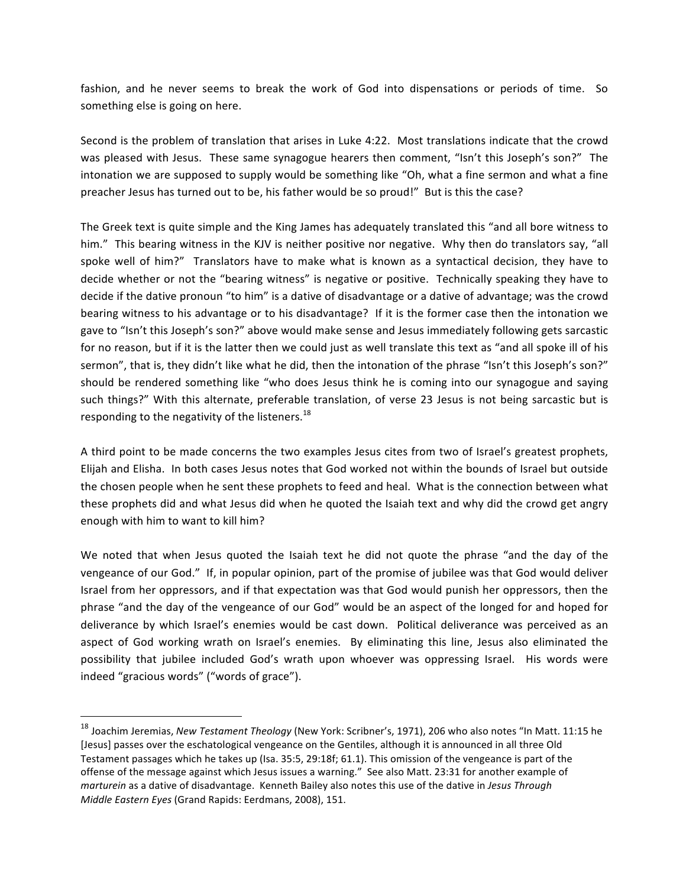fashion, and he never seems to break the work of God into dispensations or periods of time. So something else is going on here.

Second is the problem of translation that arises in Luke 4:22. Most translations indicate that the crowd was pleased with Jesus. These same synagogue hearers then comment, "Isn't this Joseph's son?" The intonation we are supposed to supply would be something like "Oh, what a fine sermon and what a fine preacher Jesus has turned out to be, his father would be so proud!" But is this the case?

The Greek text is quite simple and the King James has adequately translated this "and all bore witness to him." This bearing witness in the KJV is neither positive nor negative. Why then do translators say, "all spoke well of him?" Translators have to make what is known as a syntactical decision, they have to decide whether or not the "bearing witness" is negative or positive. Technically speaking they have to decide if the dative pronoun "to him" is a dative of disadvantage or a dative of advantage; was the crowd bearing witness to his advantage or to his disadvantage? If it is the former case then the intonation we gave to "Isn't this Joseph's son?" above would make sense and Jesus immediately following gets sarcastic for no reason, but if it is the latter then we could just as well translate this text as "and all spoke ill of his sermon", that is, they didn't like what he did, then the intonation of the phrase "Isn't this Joseph's son?" should be rendered something like "who does Jesus think he is coming into our synagogue and saying such things?" With this alternate, preferable translation, of verse 23 Jesus is not being sarcastic but is responding to the negativity of the listeners.<sup>18</sup>

A third point to be made concerns the two examples Jesus cites from two of Israel's greatest prophets, Elijah and Elisha. In both cases Jesus notes that God worked not within the bounds of Israel but outside the chosen people when he sent these prophets to feed and heal. What is the connection between what these prophets did and what Jesus did when he quoted the Isaiah text and why did the crowd get angry enough with him to want to kill him?

We noted that when Jesus quoted the Isaiah text he did not quote the phrase "and the day of the vengeance of our God." If, in popular opinion, part of the promise of jubilee was that God would deliver Israel from her oppressors, and if that expectation was that God would punish her oppressors, then the phrase "and the day of the vengeance of our God" would be an aspect of the longed for and hoped for deliverance by which Israel's enemies would be cast down. Political deliverance was perceived as an aspect of God working wrath on Israel's enemies. By eliminating this line, Jesus also eliminated the possibility that jubilee included God's wrath upon whoever was oppressing Israel. His words were indeed "gracious words" ("words of grace").

<sup>&</sup>lt;sup>18</sup> Joachim Jeremias, *New Testament Theology* (New York: Scribner's, 1971), 206 who also notes "In Matt. 11:15 he [Jesus] passes over the eschatological vengeance on the Gentiles, although it is announced in all three Old Testament passages which he takes up (Isa. 35:5, 29:18f; 61.1). This omission of the vengeance is part of the offense of the message against which Jesus issues a warning." See also Matt. 23:31 for another example of *marturein* as a dative of disadvantage. Kenneth Bailey also notes this use of the dative in *Jesus Through Middle Eastern Eyes* (Grand Rapids: Eerdmans, 2008), 151.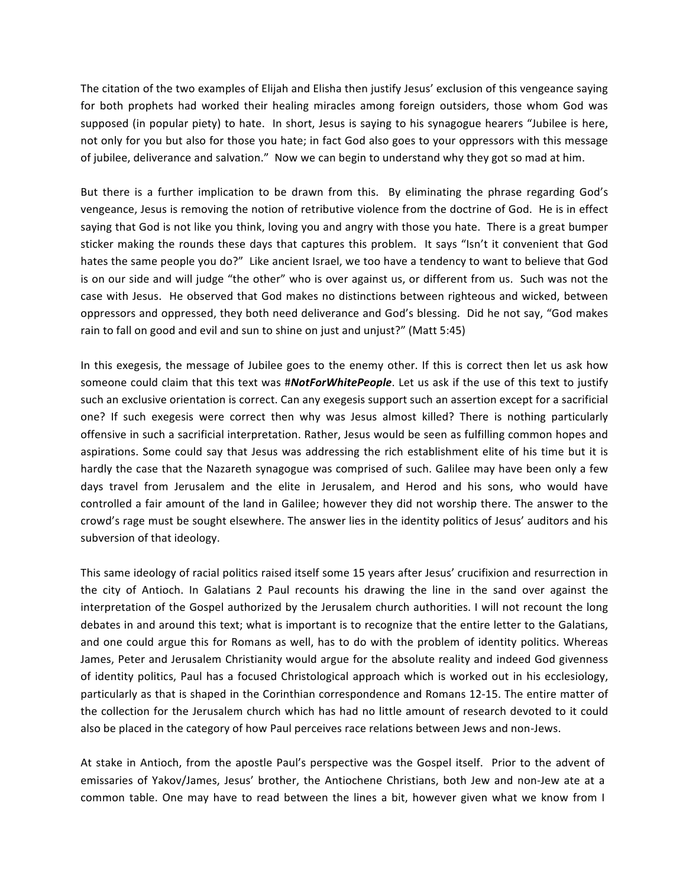The citation of the two examples of Elijah and Elisha then justify Jesus' exclusion of this vengeance saying for both prophets had worked their healing miracles among foreign outsiders, those whom God was supposed (in popular piety) to hate. In short, Jesus is saying to his synagogue hearers "Jubilee is here, not only for you but also for those you hate; in fact God also goes to your oppressors with this message of jubilee, deliverance and salvation." Now we can begin to understand why they got so mad at him.

But there is a further implication to be drawn from this. By eliminating the phrase regarding God's vengeance, Jesus is removing the notion of retributive violence from the doctrine of God. He is in effect saying that God is not like you think, loving you and angry with those you hate. There is a great bumper sticker making the rounds these days that captures this problem. It says "Isn't it convenient that God hates the same people you do?" Like ancient Israel, we too have a tendency to want to believe that God is on our side and will judge "the other" who is over against us, or different from us. Such was not the case with Jesus. He observed that God makes no distinctions between righteous and wicked, between oppressors and oppressed, they both need deliverance and God's blessing. Did he not say, "God makes rain to fall on good and evil and sun to shine on just and unjust?" (Matt  $5:45$ )

In this exegesis, the message of Jubilee goes to the enemy other. If this is correct then let us ask how someone could claim that this text was #NotForWhitePeople. Let us ask if the use of this text to justify such an exclusive orientation is correct. Can any exegesis support such an assertion except for a sacrificial one? If such exegesis were correct then why was Jesus almost killed? There is nothing particularly offensive in such a sacrificial interpretation. Rather, Jesus would be seen as fulfilling common hopes and aspirations. Some could say that Jesus was addressing the rich establishment elite of his time but it is hardly the case that the Nazareth synagogue was comprised of such. Galilee may have been only a few days travel from Jerusalem and the elite in Jerusalem, and Herod and his sons, who would have controlled a fair amount of the land in Galilee; however they did not worship there. The answer to the crowd's rage must be sought elsewhere. The answer lies in the identity politics of Jesus' auditors and his subversion of that ideology.

This same ideology of racial politics raised itself some 15 years after Jesus' crucifixion and resurrection in the city of Antioch. In Galatians 2 Paul recounts his drawing the line in the sand over against the interpretation of the Gospel authorized by the Jerusalem church authorities. I will not recount the long debates in and around this text; what is important is to recognize that the entire letter to the Galatians, and one could argue this for Romans as well, has to do with the problem of identity politics. Whereas James, Peter and Jerusalem Christianity would argue for the absolute reality and indeed God givenness of identity politics, Paul has a focused Christological approach which is worked out in his ecclesiology, particularly as that is shaped in the Corinthian correspondence and Romans 12-15. The entire matter of the collection for the Jerusalem church which has had no little amount of research devoted to it could also be placed in the category of how Paul perceives race relations between Jews and non-Jews.

At stake in Antioch, from the apostle Paul's perspective was the Gospel itself. Prior to the advent of emissaries of Yakov/James, Jesus' brother, the Antiochene Christians, both Jew and non-Jew ate at a common table. One may have to read between the lines a bit, however given what we know from I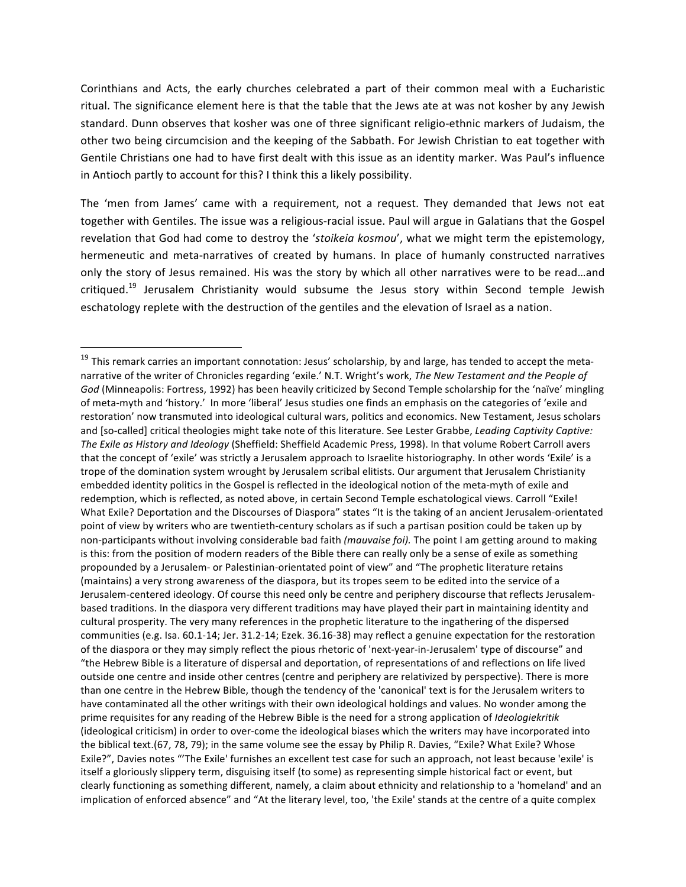Corinthians and Acts, the early churches celebrated a part of their common meal with a Eucharistic ritual. The significance element here is that the table that the Jews ate at was not kosher by any Jewish standard. Dunn observes that kosher was one of three significant religio-ethnic markers of Judaism, the other two being circumcision and the keeping of the Sabbath. For Jewish Christian to eat together with Gentile Christians one had to have first dealt with this issue as an identity marker. Was Paul's influence in Antioch partly to account for this? I think this a likely possibility.

The 'men from James' came with a requirement, not a request. They demanded that Jews not eat together with Gentiles. The issue was a religious-racial issue. Paul will argue in Galatians that the Gospel revelation that God had come to destroy the 'stoikeia kosmou', what we might term the epistemology, hermeneutic and meta-narratives of created by humans. In place of humanly constructed narratives only the story of Jesus remained. His was the story by which all other narratives were to be read...and critiqued.<sup>19</sup> Jerusalem Christianity would subsume the Jesus story within Second temple Jewish eschatology replete with the destruction of the gentiles and the elevation of Israel as a nation.

 $^{19}$  This remark carries an important connotation: Jesus' scholarship, by and large, has tended to accept the metanarrative of the writer of Chronicles regarding 'exile.' N.T. Wright's work, The New Testament and the People of God (Minneapolis: Fortress, 1992) has been heavily criticized by Second Temple scholarship for the 'naïve' mingling of meta-myth and 'history.' In more 'liberal' Jesus studies one finds an emphasis on the categories of 'exile and restoration' now transmuted into ideological cultural wars, politics and economics. New Testament, Jesus scholars and [so-called] critical theologies might take note of this literature. See Lester Grabbe, *Leading Captivity Captive:* The Exile as History and Ideology (Sheffield: Sheffield Academic Press, 1998). In that volume Robert Carroll avers that the concept of 'exile' was strictly a Jerusalem approach to Israelite historiography. In other words 'Exile' is a trope of the domination system wrought by Jerusalem scribal elitists. Our argument that Jerusalem Christianity embedded identity politics in the Gospel is reflected in the ideological notion of the meta-myth of exile and redemption, which is reflected, as noted above, in certain Second Temple eschatological views. Carroll "Exile! What Exile? Deportation and the Discourses of Diaspora" states "It is the taking of an ancient Jerusalem-orientated point of view by writers who are twentieth-century scholars as if such a partisan position could be taken up by non-participants without involving considerable bad faith (mauvaise foi). The point I am getting around to making is this: from the position of modern readers of the Bible there can really only be a sense of exile as something propounded by a Jerusalem- or Palestinian-orientated point of view" and "The prophetic literature retains (maintains) a very strong awareness of the diaspora, but its tropes seem to be edited into the service of a Jerusalem-centered ideology. Of course this need only be centre and periphery discourse that reflects Jerusalembased traditions. In the diaspora very different traditions may have played their part in maintaining identity and cultural prosperity. The very many references in the prophetic literature to the ingathering of the dispersed communities (e.g. Isa. 60.1-14; Jer. 31.2-14; Ezek. 36.16-38) may reflect a genuine expectation for the restoration of the diaspora or they may simply reflect the pious rhetoric of 'next-year-in-Jerusalem' type of discourse" and "the Hebrew Bible is a literature of dispersal and deportation, of representations of and reflections on life lived outside one centre and inside other centres (centre and periphery are relativized by perspective). There is more than one centre in the Hebrew Bible, though the tendency of the 'canonical' text is for the Jerusalem writers to have contaminated all the other writings with their own ideological holdings and values. No wonder among the prime requisites for any reading of the Hebrew Bible is the need for a strong application of *Ideologiekritik* (ideological criticism) in order to over-come the ideological biases which the writers may have incorporated into the biblical text.(67, 78, 79); in the same volume see the essay by Philip R. Davies, "Exile? What Exile? Whose Exile?", Davies notes "'The Exile' furnishes an excellent test case for such an approach, not least because 'exile' is itself a gloriously slippery term, disguising itself (to some) as representing simple historical fact or event, but clearly functioning as something different, namely, a claim about ethnicity and relationship to a 'homeland' and an implication of enforced absence" and "At the literary level, too, 'the Exile' stands at the centre of a quite complex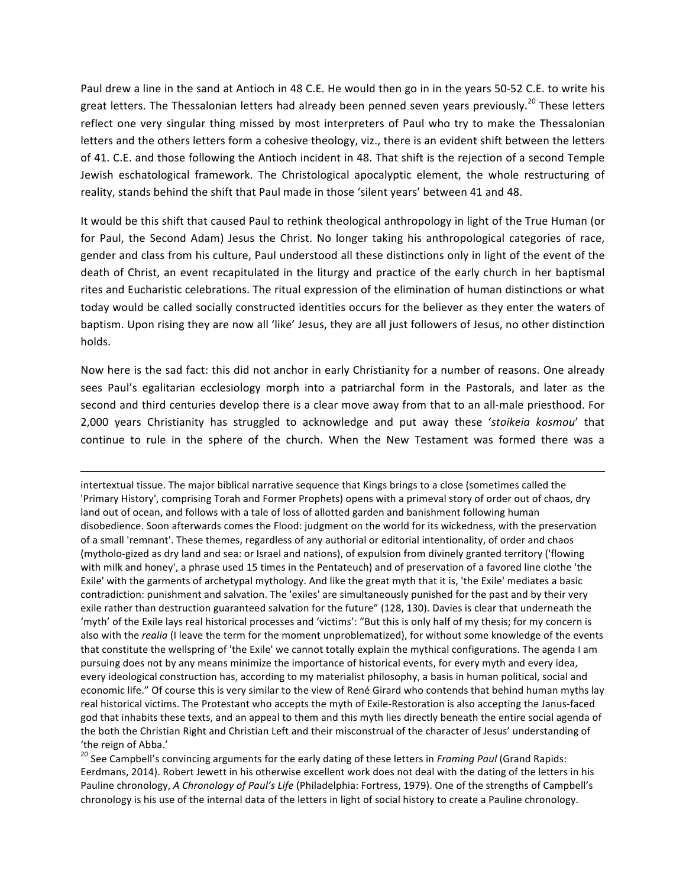Paul drew a line in the sand at Antioch in 48 C.E. He would then go in in the years 50-52 C.E. to write his great letters. The Thessalonian letters had already been penned seven years previously.<sup>20</sup> These letters reflect one very singular thing missed by most interpreters of Paul who try to make the Thessalonian letters and the others letters form a cohesive theology, viz., there is an evident shift between the letters of 41. C.E. and those following the Antioch incident in 48. That shift is the rejection of a second Temple Jewish eschatological framework. The Christological apocalyptic element, the whole restructuring of reality, stands behind the shift that Paul made in those 'silent years' between 41 and 48.

It would be this shift that caused Paul to rethink theological anthropology in light of the True Human (or for Paul, the Second Adam) Jesus the Christ. No longer taking his anthropological categories of race, gender and class from his culture, Paul understood all these distinctions only in light of the event of the death of Christ, an event recapitulated in the liturgy and practice of the early church in her baptismal rites and Eucharistic celebrations. The ritual expression of the elimination of human distinctions or what today would be called socially constructed identities occurs for the believer as they enter the waters of baptism. Upon rising they are now all 'like' Jesus, they are all just followers of Jesus, no other distinction holds.

Now here is the sad fact: this did not anchor in early Christianity for a number of reasons. One already sees Paul's egalitarian ecclesiology morph into a patriarchal form in the Pastorals, and later as the second and third centuries develop there is a clear move away from that to an all-male priesthood. For 2,000 years Christianity has struggled to acknowledge and put away these 'stoikeia kosmou' that continue to rule in the sphere of the church. When the New Testament was formed there was a

<u> 1989 - Andrea Santa Andrea Andrea Andrea Andrea Andrea Andrea Andrea Andrea Andrea Andrea Andrea Andrea Andr</u>

intertextual tissue. The major biblical narrative sequence that Kings brings to a close (sometimes called the 'Primary History', comprising Torah and Former Prophets) opens with a primeval story of order out of chaos, dry land out of ocean, and follows with a tale of loss of allotted garden and banishment following human disobedience. Soon afterwards comes the Flood: judgment on the world for its wickedness, with the preservation of a small 'remnant'. These themes, regardless of any authorial or editorial intentionality, of order and chaos (mytholo-gized as dry land and sea: or Israel and nations), of expulsion from divinely granted territory ('flowing with milk and honey', a phrase used 15 times in the Pentateuch) and of preservation of a favored line clothe 'the Exile' with the garments of archetypal mythology. And like the great myth that it is, 'the Exile' mediates a basic contradiction: punishment and salvation. The 'exiles' are simultaneously punished for the past and by their very exile rather than destruction guaranteed salvation for the future" (128, 130). Davies is clear that underneath the 'myth' of the Exile lays real historical processes and 'victims': "But this is only half of my thesis; for my concern is also with the *realia* (I leave the term for the moment unproblematized), for without some knowledge of the events that constitute the wellspring of 'the Exile' we cannot totally explain the mythical configurations. The agenda I am pursuing does not by any means minimize the importance of historical events, for every myth and every idea, every ideological construction has, according to my materialist philosophy, a basis in human political, social and economic life." Of course this is very similar to the view of René Girard who contends that behind human myths lay real historical victims. The Protestant who accepts the myth of Exile-Restoration is also accepting the Janus-faced god that inhabits these texts, and an appeal to them and this myth lies directly beneath the entire social agenda of the both the Christian Right and Christian Left and their misconstrual of the character of Jesus' understanding of 'the reign of Abba.'

<sup>20</sup> See Campbell's convincing arguments for the early dating of these letters in *Framing Paul* (Grand Rapids: Eerdmans, 2014). Robert Jewett in his otherwise excellent work does not deal with the dating of the letters in his Pauline chronology, *A Chronology of Paul's Life* (Philadelphia: Fortress, 1979). One of the strengths of Campbell's chronology is his use of the internal data of the letters in light of social history to create a Pauline chronology.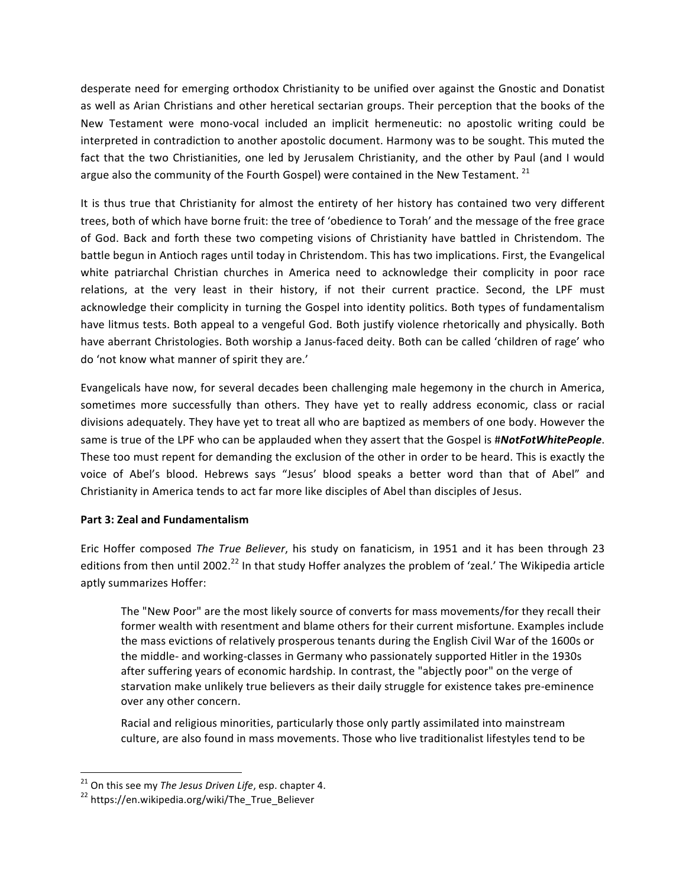desperate need for emerging orthodox Christianity to be unified over against the Gnostic and Donatist as well as Arian Christians and other heretical sectarian groups. Their perception that the books of the New Testament were mono-vocal included an implicit hermeneutic: no apostolic writing could be interpreted in contradiction to another apostolic document. Harmony was to be sought. This muted the fact that the two Christianities, one led by Jerusalem Christianity, and the other by Paul (and I would argue also the community of the Fourth Gospel) were contained in the New Testament.<sup>21</sup>

It is thus true that Christianity for almost the entirety of her history has contained two very different trees, both of which have borne fruit: the tree of 'obedience to Torah' and the message of the free grace of God. Back and forth these two competing visions of Christianity have battled in Christendom. The battle begun in Antioch rages until today in Christendom. This has two implications. First, the Evangelical white patriarchal Christian churches in America need to acknowledge their complicity in poor race relations, at the very least in their history, if not their current practice. Second, the LPF must acknowledge their complicity in turning the Gospel into identity politics. Both types of fundamentalism have litmus tests. Both appeal to a vengeful God. Both justify violence rhetorically and physically. Both have aberrant Christologies. Both worship a Janus-faced deity. Both can be called 'children of rage' who do 'not know what manner of spirit they are.'

Evangelicals have now, for several decades been challenging male hegemony in the church in America, sometimes more successfully than others. They have yet to really address economic, class or racial divisions adequately. They have yet to treat all who are baptized as members of one body. However the same is true of the LPF who can be applauded when they assert that the Gospel is #**NotFotWhitePeople**. These too must repent for demanding the exclusion of the other in order to be heard. This is exactly the voice of Abel's blood. Hebrews says "Jesus' blood speaks a better word than that of Abel" and Christianity in America tends to act far more like disciples of Abel than disciples of Jesus.

# **Part 3: Zeal and Fundamentalism**

Eric Hoffer composed *The True Believer*, his study on fanaticism, in 1951 and it has been through 23 editions from then until 2002.<sup>22</sup> In that study Hoffer analyzes the problem of 'zeal.' The Wikipedia article aptly summarizes Hoffer:

The "New Poor" are the most likely source of converts for mass movements/for they recall their former wealth with resentment and blame others for their current misfortune. Examples include the mass evictions of relatively prosperous tenants during the English Civil War of the 1600s or the middle- and working-classes in Germany who passionately supported Hitler in the 1930s after suffering years of economic hardship. In contrast, the "abjectly poor" on the verge of starvation make unlikely true believers as their daily struggle for existence takes pre-eminence over any other concern.

Racial and religious minorities, particularly those only partly assimilated into mainstream culture, are also found in mass movements. Those who live traditionalist lifestyles tend to be

<sup>&</sup>lt;sup>21</sup> On this see my The Jesus Driven Life, esp. chapter 4.

<sup>&</sup>lt;sup>22</sup> https://en.wikipedia.org/wiki/The\_True\_Believer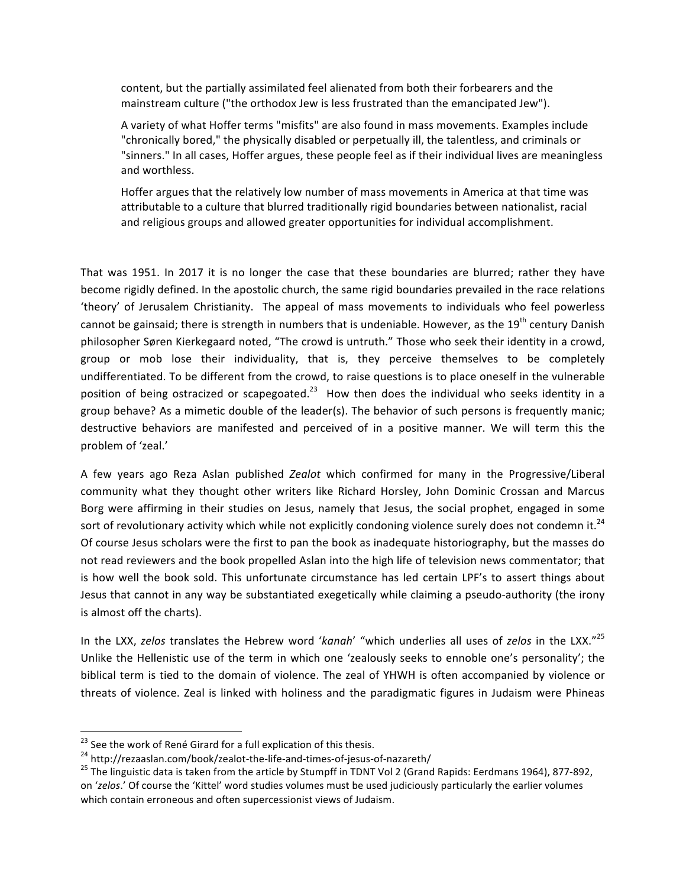content, but the partially assimilated feel alienated from both their forbearers and the mainstream culture ("the orthodox Jew is less frustrated than the emancipated Jew").

A variety of what Hoffer terms "misfits" are also found in mass movements. Examples include "chronically bored," the physically disabled or perpetually ill, the talentless, and criminals or "sinners." In all cases, Hoffer argues, these people feel as if their individual lives are meaningless and worthless.

Hoffer argues that the relatively low number of mass movements in America at that time was attributable to a culture that blurred traditionally rigid boundaries between nationalist, racial and religious groups and allowed greater opportunities for individual accomplishment.

That was 1951. In 2017 it is no longer the case that these boundaries are blurred; rather they have become rigidly defined. In the apostolic church, the same rigid boundaries prevailed in the race relations 'theory' of Jerusalem Christianity. The appeal of mass movements to individuals who feel powerless cannot be gainsaid; there is strength in numbers that is undeniable. However, as the 19<sup>th</sup> century Danish philosopher Søren Kierkegaard noted, "The crowd is untruth." Those who seek their identity in a crowd, group or mob lose their individuality, that is, they perceive themselves to be completely undifferentiated. To be different from the crowd, to raise questions is to place oneself in the vulnerable position of being ostracized or scapegoated.<sup>23</sup> How then does the individual who seeks identity in a group behave? As a mimetic double of the leader(s). The behavior of such persons is frequently manic; destructive behaviors are manifested and perceived of in a positive manner. We will term this the problem of 'zeal.'

A few years ago Reza Aslan published *Zealot* which confirmed for many in the Progressive/Liberal community what they thought other writers like Richard Horsley, John Dominic Crossan and Marcus Borg were affirming in their studies on Jesus, namely that Jesus, the social prophet, engaged in some sort of revolutionary activity which while not explicitly condoning violence surely does not condemn it.<sup>24</sup> Of course Jesus scholars were the first to pan the book as inadequate historiography, but the masses do not read reviewers and the book propelled Aslan into the high life of television news commentator; that is how well the book sold. This unfortunate circumstance has led certain LPF's to assert things about Jesus that cannot in any way be substantiated exegetically while claiming a pseudo-authority (the irony is almost off the charts).

In the LXX, *zelos* translates the Hebrew word 'kanah' "which underlies all uses of *zelos* in the LXX."<sup>25</sup> Unlike the Hellenistic use of the term in which one 'zealously seeks to ennoble one's personality'; the biblical term is tied to the domain of violence. The zeal of YHWH is often accompanied by violence or threats of violence. Zeal is linked with holiness and the paradigmatic figures in Judaism were Phineas

<sup>&</sup>lt;sup>23</sup> See the work of René Girard for a full explication of this thesis.<br><sup>24</sup> http://rezaaslan.com/book/zealot-the-life-and-times-of-jesus-of-nazareth/<br><sup>25</sup> The linguistic data is taken from the article by Stumpff in TDNT on 'zelos.' Of course the 'Kittel' word studies volumes must be used judiciously particularly the earlier volumes which contain erroneous and often supercessionist views of Judaism.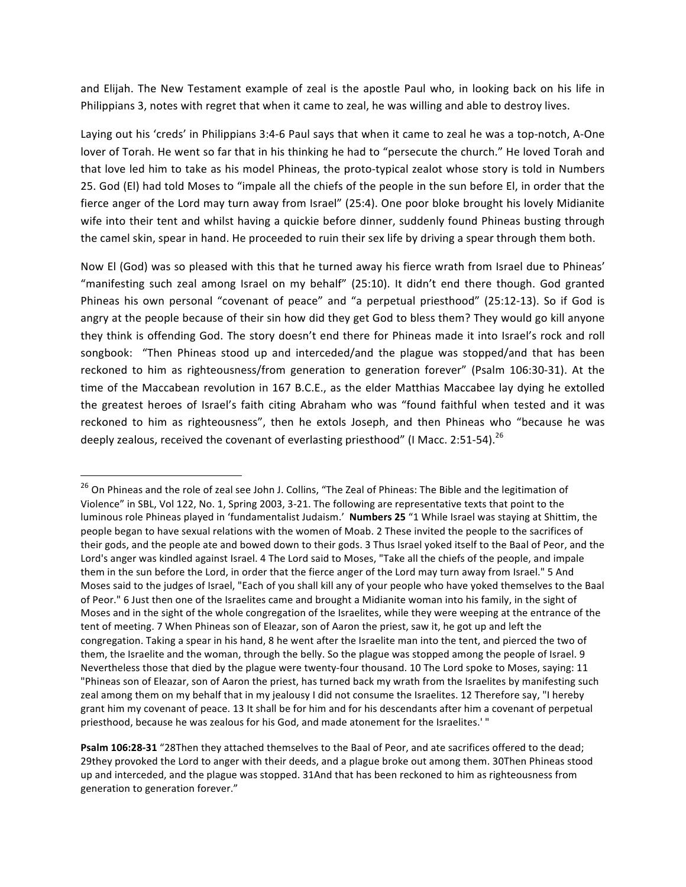and Elijah. The New Testament example of zeal is the apostle Paul who, in looking back on his life in Philippians 3, notes with regret that when it came to zeal, he was willing and able to destroy lives.

Laying out his 'creds' in Philippians 3:4-6 Paul says that when it came to zeal he was a top-notch, A-One lover of Torah. He went so far that in his thinking he had to "persecute the church." He loved Torah and that love led him to take as his model Phineas, the proto-typical zealot whose story is told in Numbers 25. God (El) had told Moses to "impale all the chiefs of the people in the sun before El, in order that the fierce anger of the Lord may turn away from Israel" (25:4). One poor bloke brought his lovely Midianite wife into their tent and whilst having a quickie before dinner, suddenly found Phineas busting through the camel skin, spear in hand. He proceeded to ruin their sex life by driving a spear through them both.

Now El (God) was so pleased with this that he turned away his fierce wrath from Israel due to Phineas' "manifesting such zeal among Israel on my behalf" (25:10). It didn't end there though. God granted Phineas his own personal "covenant of peace" and "a perpetual priesthood" (25:12-13). So if God is angry at the people because of their sin how did they get God to bless them? They would go kill anyone they think is offending God. The story doesn't end there for Phineas made it into Israel's rock and roll songbook: "Then Phineas stood up and interceded/and the plague was stopped/and that has been reckoned to him as righteousness/from generation to generation forever" (Psalm 106:30-31). At the time of the Maccabean revolution in 167 B.C.E., as the elder Matthias Maccabee lay dying he extolled the greatest heroes of Israel's faith citing Abraham who was "found faithful when tested and it was reckoned to him as righteousness", then he extols Joseph, and then Phineas who "because he was deeply zealous, received the covenant of everlasting priesthood" (I Macc. 2:51-54).<sup>26</sup>

 $26$  On Phineas and the role of zeal see John J. Collins, "The Zeal of Phineas: The Bible and the legitimation of Violence" in SBL, Vol 122, No. 1, Spring 2003, 3-21. The following are representative texts that point to the luminous role Phineas played in 'fundamentalist Judaism.' Numbers 25 "1 While Israel was staying at Shittim, the people began to have sexual relations with the women of Moab. 2 These invited the people to the sacrifices of their gods, and the people ate and bowed down to their gods. 3 Thus Israel yoked itself to the Baal of Peor, and the Lord's anger was kindled against Israel. 4 The Lord said to Moses, "Take all the chiefs of the people, and impale them in the sun before the Lord, in order that the fierce anger of the Lord may turn away from Israel." 5 And Moses said to the judges of Israel, "Each of you shall kill any of your people who have yoked themselves to the Baal of Peor." 6 Just then one of the Israelites came and brought a Midianite woman into his family, in the sight of Moses and in the sight of the whole congregation of the Israelites, while they were weeping at the entrance of the tent of meeting. 7 When Phineas son of Eleazar, son of Aaron the priest, saw it, he got up and left the congregation. Taking a spear in his hand, 8 he went after the Israelite man into the tent, and pierced the two of them, the Israelite and the woman, through the belly. So the plague was stopped among the people of Israel. 9 Nevertheless those that died by the plague were twenty-four thousand. 10 The Lord spoke to Moses, saying: 11 "Phineas son of Eleazar, son of Aaron the priest, has turned back my wrath from the Israelites by manifesting such zeal among them on my behalf that in my jealousy I did not consume the Israelites. 12 Therefore say, "I hereby grant him my covenant of peace. 13 It shall be for him and for his descendants after him a covenant of perpetual priesthood, because he was zealous for his God, and made atonement for the Israelites.'"

**Psalm 106:28-31** "28Then they attached themselves to the Baal of Peor, and ate sacrifices offered to the dead; 29they provoked the Lord to anger with their deeds, and a plague broke out among them. 30Then Phineas stood up and interceded, and the plague was stopped. 31And that has been reckoned to him as righteousness from generation to generation forever." The contraction of the contraction of the contraction of the contraction of the contraction of the contraction of the contraction of the contraction of the contraction of the contraction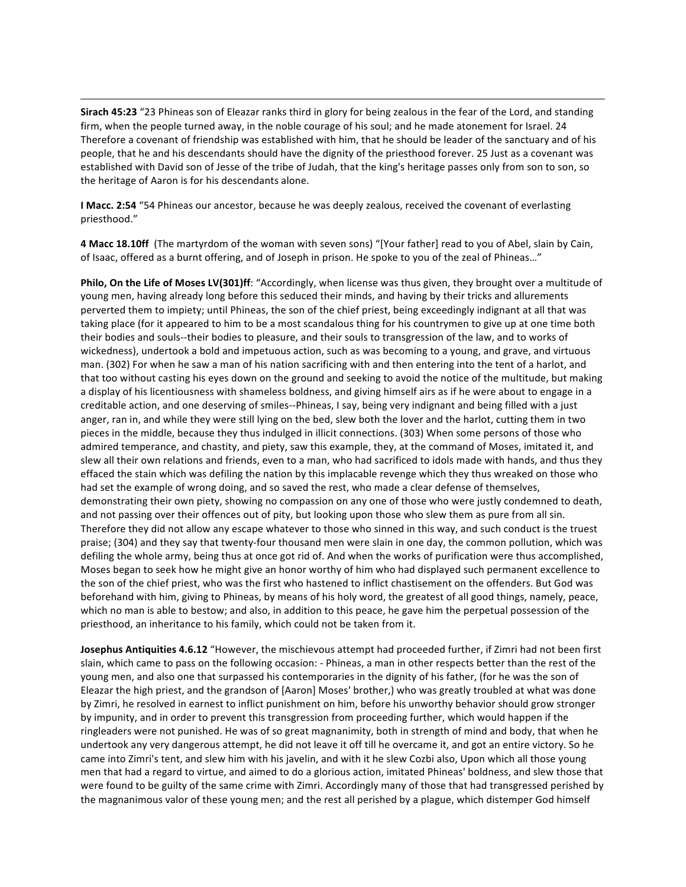**Sirach 45:23** "23 Phineas son of Eleazar ranks third in glory for being zealous in the fear of the Lord, and standing firm, when the people turned away, in the noble courage of his soul; and he made atonement for Israel. 24 Therefore a covenant of friendship was established with him, that he should be leader of the sanctuary and of his people, that he and his descendants should have the dignity of the priesthood forever. 25 Just as a covenant was established with David son of Jesse of the tribe of Judah, that the king's heritage passes only from son to son, so the heritage of Aaron is for his descendants alone.

<u> 1989 - Johann Stoff, fransk politik (f. 1989)</u>

**I Macc. 2:54** "54 Phineas our ancestor, because he was deeply zealous, received the covenant of everlasting priesthood."

**4 Macc 18.10ff** (The martyrdom of the woman with seven sons) "[Your father] read to you of Abel, slain by Cain, of Isaac, offered as a burnt offering, and of Joseph in prison. He spoke to you of the zeal of Phineas..."

Philo, On the Life of Moses LV(301)ff: "Accordingly, when license was thus given, they brought over a multitude of young men, having already long before this seduced their minds, and having by their tricks and allurements perverted them to impiety; until Phineas, the son of the chief priest, being exceedingly indignant at all that was taking place (for it appeared to him to be a most scandalous thing for his countrymen to give up at one time both their bodies and souls--their bodies to pleasure, and their souls to transgression of the law, and to works of wickedness), undertook a bold and impetuous action, such as was becoming to a young, and grave, and virtuous man. (302) For when he saw a man of his nation sacrificing with and then entering into the tent of a harlot, and that too without casting his eyes down on the ground and seeking to avoid the notice of the multitude, but making a display of his licentiousness with shameless boldness, and giving himself airs as if he were about to engage in a creditable action, and one deserving of smiles--Phineas, I say, being very indignant and being filled with a just anger, ran in, and while they were still lying on the bed, slew both the lover and the harlot, cutting them in two pieces in the middle, because they thus indulged in illicit connections. (303) When some persons of those who admired temperance, and chastity, and piety, saw this example, they, at the command of Moses, imitated it, and slew all their own relations and friends, even to a man, who had sacrificed to idols made with hands, and thus they effaced the stain which was defiling the nation by this implacable revenge which they thus wreaked on those who had set the example of wrong doing, and so saved the rest, who made a clear defense of themselves, demonstrating their own piety, showing no compassion on any one of those who were justly condemned to death, and not passing over their offences out of pity, but looking upon those who slew them as pure from all sin. Therefore they did not allow any escape whatever to those who sinned in this way, and such conduct is the truest praise; (304) and they say that twenty-four thousand men were slain in one day, the common pollution, which was defiling the whole army, being thus at once got rid of. And when the works of purification were thus accomplished, Moses began to seek how he might give an honor worthy of him who had displayed such permanent excellence to the son of the chief priest, who was the first who hastened to inflict chastisement on the offenders. But God was beforehand with him, giving to Phineas, by means of his holy word, the greatest of all good things, namely, peace, which no man is able to bestow; and also, in addition to this peace, he gave him the perpetual possession of the priesthood, an inheritance to his family, which could not be taken from it.

**Josephus Antiquities 4.6.12** "However, the mischievous attempt had proceeded further, if Zimri had not been first slain, which came to pass on the following occasion: - Phineas, a man in other respects better than the rest of the young men, and also one that surpassed his contemporaries in the dignity of his father, (for he was the son of Eleazar the high priest, and the grandson of [Aaron] Moses' brother,) who was greatly troubled at what was done by Zimri, he resolved in earnest to inflict punishment on him, before his unworthy behavior should grow stronger by impunity, and in order to prevent this transgression from proceeding further, which would happen if the ringleaders were not punished. He was of so great magnanimity, both in strength of mind and body, that when he undertook any very dangerous attempt, he did not leave it off till he overcame it, and got an entire victory. So he came into Zimri's tent, and slew him with his javelin, and with it he slew Cozbi also, Upon which all those young men that had a regard to virtue, and aimed to do a glorious action, imitated Phineas' boldness, and slew those that were found to be guilty of the same crime with Zimri. Accordingly many of those that had transgressed perished by the magnanimous valor of these young men; and the rest all perished by a plague, which distemper God himself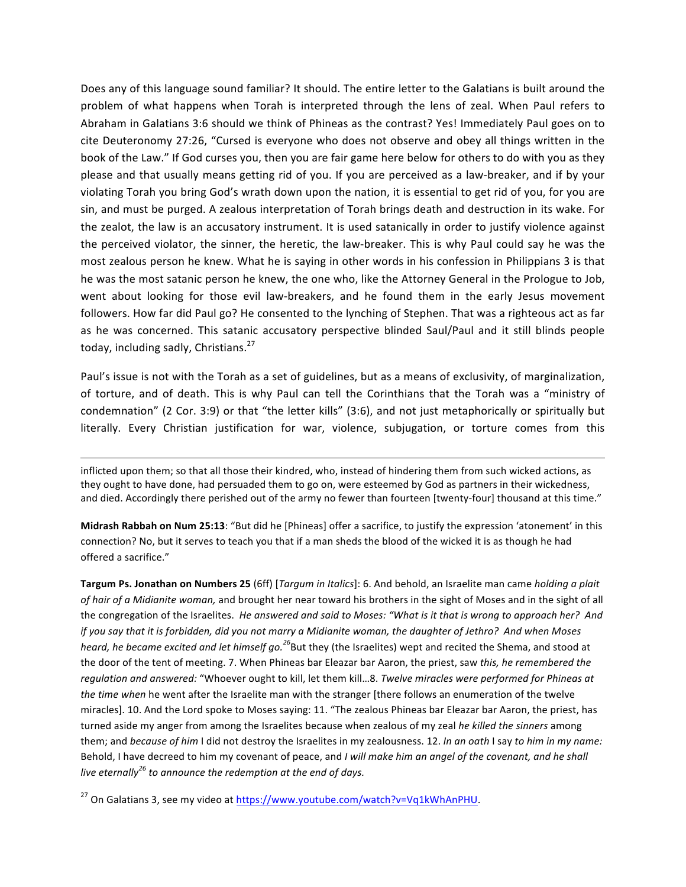Does any of this language sound familiar? It should. The entire letter to the Galatians is built around the problem of what happens when Torah is interpreted through the lens of zeal. When Paul refers to Abraham in Galatians 3:6 should we think of Phineas as the contrast? Yes! Immediately Paul goes on to cite Deuteronomy 27:26, "Cursed is everyone who does not observe and obey all things written in the book of the Law." If God curses you, then you are fair game here below for others to do with you as they please and that usually means getting rid of you. If you are perceived as a law-breaker, and if by your violating Torah you bring God's wrath down upon the nation, it is essential to get rid of you, for you are sin, and must be purged. A zealous interpretation of Torah brings death and destruction in its wake. For the zealot, the law is an accusatory instrument. It is used satanically in order to justify violence against the perceived violator, the sinner, the heretic, the law-breaker. This is why Paul could say he was the most zealous person he knew. What he is saying in other words in his confession in Philippians 3 is that he was the most satanic person he knew, the one who, like the Attorney General in the Prologue to Job, went about looking for those evil law-breakers, and he found them in the early Jesus movement followers. How far did Paul go? He consented to the lynching of Stephen. That was a righteous act as far as he was concerned. This satanic accusatory perspective blinded Saul/Paul and it still blinds people today, including sadly, Christians. $^{27}$ 

Paul's issue is not with the Torah as a set of guidelines, but as a means of exclusivity, of marginalization, of torture, and of death. This is why Paul can tell the Corinthians that the Torah was a "ministry of condemnation" (2 Cor. 3:9) or that "the letter kills" (3:6), and not just metaphorically or spiritually but literally. Every Christian justification for war, violence, subjugation, or torture comes from this

inflicted upon them; so that all those their kindred, who, instead of hindering them from such wicked actions, as they ought to have done, had persuaded them to go on, were esteemed by God as partners in their wickedness, and died. Accordingly there perished out of the army no fewer than fourteen [twenty-four] thousand at this time."

<u> 1989 - Andrea Santa Andrea Andrea Andrea Andrea Andrea Andrea Andrea Andrea Andrea Andrea Andrea Andrea Andr</u>

**Midrash Rabbah on Num 25:13**: "But did he [Phineas] offer a sacrifice, to justify the expression 'atonement' in this connection? No, but it serves to teach you that if a man sheds the blood of the wicked it is as though he had offered a sacrifice."

Targum Ps. Jonathan on Numbers 25 (6ff) [*Targum in Italics*]: 6. And behold, an Israelite man came *holding a plait* of hair of a Midianite woman, and brought her near toward his brothers in the sight of Moses and in the sight of all the congregation of the Israelites. He answered and said to Moses: "What is it that is wrong to approach her? And *if* you say that it is forbidden, did you not marry a Midianite woman, the daughter of Jethro? And when Moses *heard, he became excited and let himself go.*<sup>26</sup>But they (the Israelites) wept and recited the Shema, and stood at the door of the tent of meeting. 7. When Phineas bar Eleazar bar Aaron, the priest, saw this, he remembered the regulation and answered: "Whoever ought to kill, let them kill...8. *Twelve miracles were performed for Phineas at the time* when he went after the Israelite man with the stranger [there follows an enumeration of the twelve miracles]. 10. And the Lord spoke to Moses saying: 11. "The zealous Phineas bar Eleazar bar Aaron, the priest, has turned aside my anger from among the Israelites because when zealous of my zeal *he killed the sinners* among them; and *because of him* I did not destroy the Israelites in my zealousness. 12. In an oath I say to him in my name: Behold, I have decreed to him my covenant of peace, and *I will make him an angel of the covenant, and he shall live* eternally<sup>26</sup> to announce the redemption at the end of days.

 $^{27}$  On Galatians 3, see my video at https://www.youtube.com/watch?v=Vq1kWhAnPHU.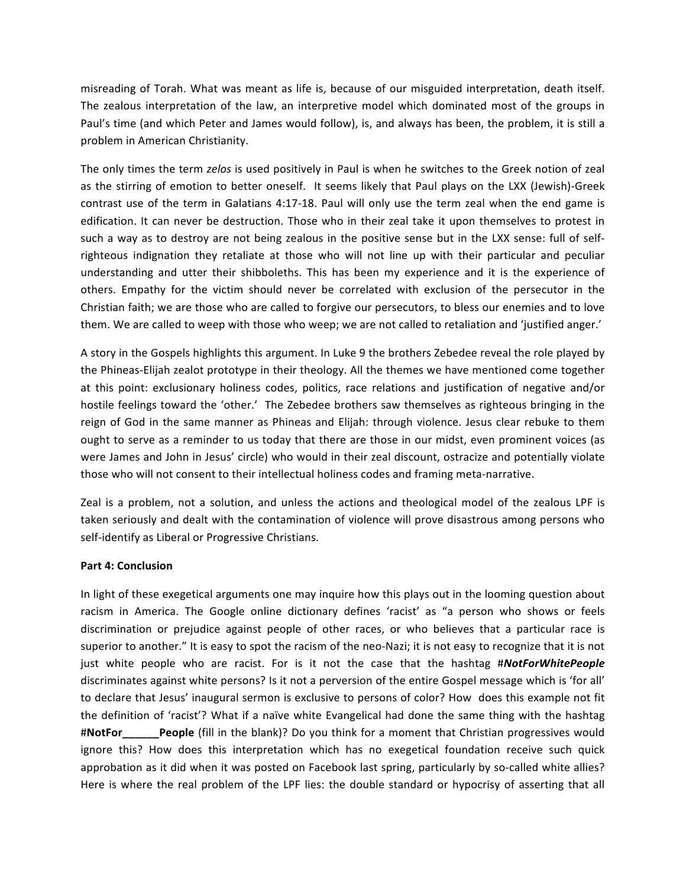misreading of Torah. What was meant as life is, because of our misguided interpretation, death itself. The zealous interpretation of the law, an interpretive model which dominated most of the groups in Paul's time (and which Peter and James would follow), is, and always has been, the problem, it is still a problem in American Christianity.

The only times the term *zelos* is used positively in Paul is when he switches to the Greek notion of zeal as the stirring of emotion to better oneself. It seems likely that Paul plays on the LXX (Jewish)-Greek contrast use of the term in Galatians 4:17-18. Paul will only use the term zeal when the end game is edification. It can never be destruction. Those who in their zeal take it upon themselves to protest in such a way as to destroy are not being zealous in the positive sense but in the LXX sense: full of selfrighteous indignation they retaliate at those who will not line up with their particular and peculiar understanding and utter their shibboleths. This has been my experience and it is the experience of others. Empathy for the victim should never be correlated with exclusion of the persecutor in the Christian faith; we are those who are called to forgive our persecutors, to bless our enemies and to love them. We are called to weep with those who weep; we are not called to retaliation and 'justified anger.'

A story in the Gospels highlights this argument. In Luke 9 the brothers Zebedee reveal the role played by the Phineas-Elijah zealot prototype in their theology. All the themes we have mentioned come together at this point: exclusionary holiness codes, politics, race relations and justification of negative and/or hostile feelings toward the 'other.' The Zebedee brothers saw themselves as righteous bringing in the reign of God in the same manner as Phineas and Elijah: through violence. Jesus clear rebuke to them ought to serve as a reminder to us today that there are those in our midst, even prominent voices (as were James and John in Jesus' circle) who would in their zeal discount, ostracize and potentially violate those who will not consent to their intellectual holiness codes and framing meta-narrative.

Zeal is a problem, not a solution, and unless the actions and theological model of the zealous LPF is taken seriously and dealt with the contamination of violence will prove disastrous among persons who self-identify as Liberal or Progressive Christians.

#### **Part 4: Conclusion**

In light of these exegetical arguments one may inquire how this plays out in the looming question about racism in America. The Google online dictionary defines 'racist' as "a person who shows or feels discrimination or prejudice against people of other races, or who believes that a particular race is superior to another." It is easy to spot the racism of the neo-Nazi; it is not easy to recognize that it is not just white people who are racist. For is it not the case that the hashtag #*NotForWhitePeople* discriminates against white persons? Is it not a perversion of the entire Gospel message which is 'for all' to declare that Jesus' inaugural sermon is exclusive to persons of color? How does this example not fit the definition of 'racist'? What if a naïve white Evangelical had done the same thing with the hashtag #NotFor\_\_\_\_\_\_People (fill in the blank)? Do you think for a moment that Christian progressives would ignore this? How does this interpretation which has no exegetical foundation receive such quick approbation as it did when it was posted on Facebook last spring, particularly by so-called white allies? Here is where the real problem of the LPF lies: the double standard or hypocrisy of asserting that all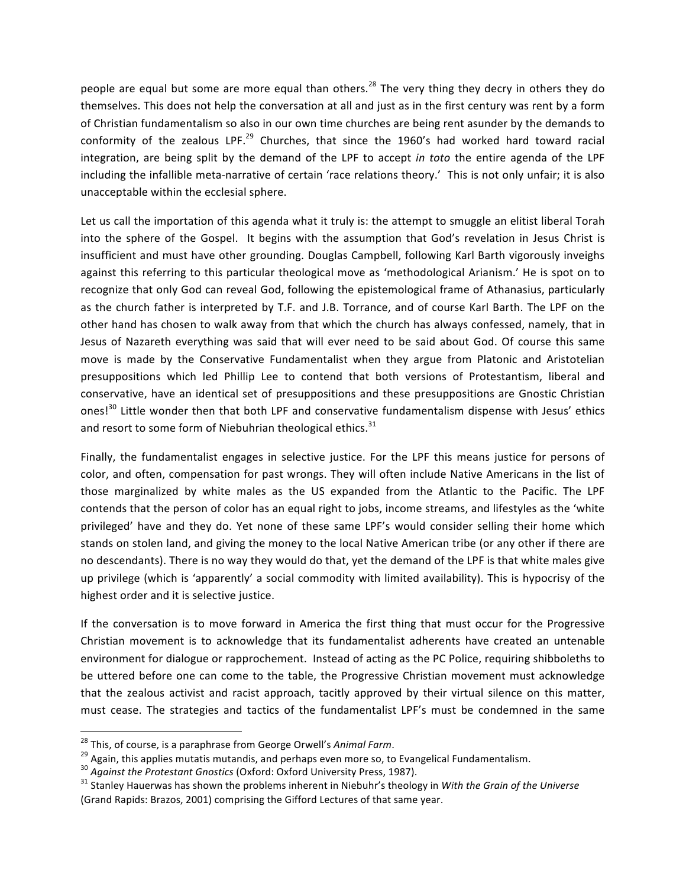people are equal but some are more equal than others.<sup>28</sup> The very thing they decry in others they do themselves. This does not help the conversation at all and just as in the first century was rent by a form of Christian fundamentalism so also in our own time churches are being rent asunder by the demands to conformity of the zealous LPF.<sup>29</sup> Churches, that since the 1960's had worked hard toward racial integration, are being split by the demand of the LPF to accept *in toto* the entire agenda of the LPF including the infallible meta-narrative of certain 'race relations theory.' This is not only unfair; it is also unacceptable within the ecclesial sphere.

Let us call the importation of this agenda what it truly is: the attempt to smuggle an elitist liberal Torah into the sphere of the Gospel. It begins with the assumption that God's revelation in Jesus Christ is insufficient and must have other grounding. Douglas Campbell, following Karl Barth vigorously inveighs against this referring to this particular theological move as 'methodological Arianism.' He is spot on to recognize that only God can reveal God, following the epistemological frame of Athanasius, particularly as the church father is interpreted by T.F. and J.B. Torrance, and of course Karl Barth. The LPF on the other hand has chosen to walk away from that which the church has always confessed, namely, that in Jesus of Nazareth everything was said that will ever need to be said about God. Of course this same move is made by the Conservative Fundamentalist when they argue from Platonic and Aristotelian presuppositions which led Phillip Lee to contend that both versions of Protestantism, liberal and conservative, have an identical set of presuppositions and these presuppositions are Gnostic Christian ones!<sup>30</sup> Little wonder then that both LPF and conservative fundamentalism dispense with Jesus' ethics and resort to some form of Niebuhrian theological ethics. $31$ 

Finally, the fundamentalist engages in selective justice. For the LPF this means justice for persons of color, and often, compensation for past wrongs. They will often include Native Americans in the list of those marginalized by white males as the US expanded from the Atlantic to the Pacific. The LPF contends that the person of color has an equal right to jobs, income streams, and lifestyles as the 'white privileged' have and they do. Yet none of these same LPF's would consider selling their home which stands on stolen land, and giving the money to the local Native American tribe (or any other if there are no descendants). There is no way they would do that, yet the demand of the LPF is that white males give up privilege (which is 'apparently' a social commodity with limited availability). This is hypocrisy of the highest order and it is selective justice.

If the conversation is to move forward in America the first thing that must occur for the Progressive Christian movement is to acknowledge that its fundamentalist adherents have created an untenable environment for dialogue or rapprochement. Instead of acting as the PC Police, requiring shibboleths to be uttered before one can come to the table, the Progressive Christian movement must acknowledge that the zealous activist and racist approach, tacitly approved by their virtual silence on this matter, must cease. The strategies and tactics of the fundamentalist LPF's must be condemned in the same

<sup>&</sup>lt;sup>28</sup> This, of course, is a paraphrase from George Orwell's Animal Farm.<br><sup>29</sup> Again, this applies mutatis mutandis, and perhaps even more so, to Evangelical Fundamentalism.<br><sup>30</sup> Against the Protestant Gnostics (Oxford: Oxf (Grand Rapids: Brazos, 2001) comprising the Gifford Lectures of that same year.